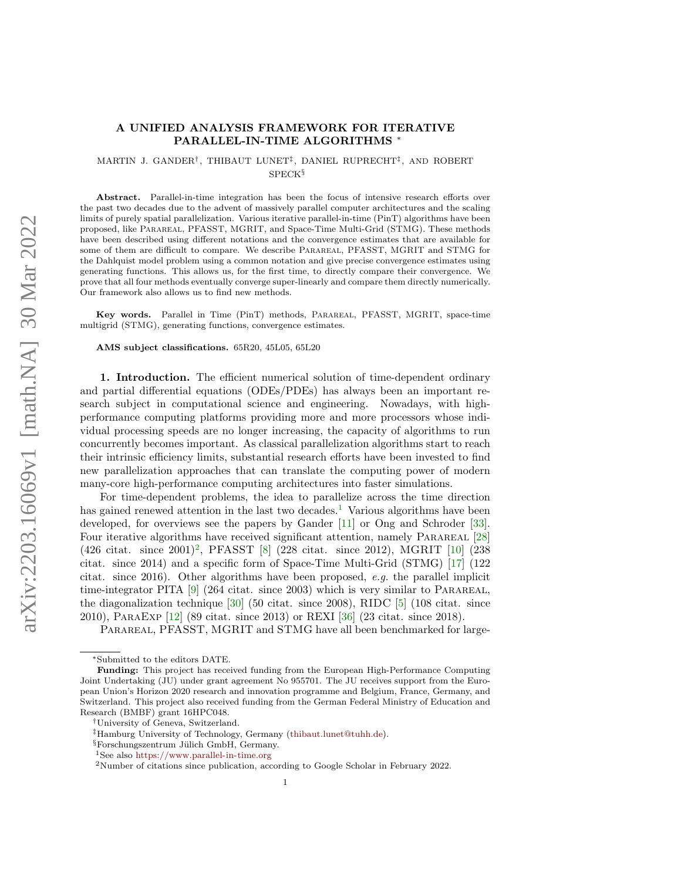# A UNIFIED ANALYSIS FRAMEWORK FOR ITERATIVE PARALLEL-IN-TIME ALGORITHMS <sup>∗</sup>

MARTIN J. GANDER† , THIBAUT LUNET‡ , DANIEL RUPRECHT‡ , AND ROBERT SPECK§

Abstract. Parallel-in-time integration has been the focus of intensive research efforts over the past two decades due to the advent of massively parallel computer architectures and the scaling limits of purely spatial parallelization. Various iterative parallel-in-time (PinT) algorithms have been proposed, like Parareal, PFASST, MGRIT, and Space-Time Multi-Grid (STMG). These methods have been described using different notations and the convergence estimates that are available for some of them are difficult to compare. We describe Parareal, PFASST, MGRIT and STMG for the Dahlquist model problem using a common notation and give precise convergence estimates using generating functions. This allows us, for the first time, to directly compare their convergence. We prove that all four methods eventually converge super-linearly and compare them directly numerically. Our framework also allows us to find new methods.

Key words. Parallel in Time (PinT) methods, Parareal, PFASST, MGRIT, space-time multigrid (STMG), generating functions, convergence estimates.

AMS subject classifications. 65R20, 45L05, 65L20

1. Introduction. The efficient numerical solution of time-dependent ordinary and partial differential equations (ODEs/PDEs) has always been an important research subject in computational science and engineering. Nowadays, with highperformance computing platforms providing more and more processors whose individual processing speeds are no longer increasing, the capacity of algorithms to run concurrently becomes important. As classical parallelization algorithms start to reach their intrinsic efficiency limits, substantial research efforts have been invested to find new parallelization approaches that can translate the computing power of modern many-core high-performance computing architectures into faster simulations.

For time-dependent problems, the idea to parallelize across the time direction has gained renewed attention in the last two decades.<sup>[1](#page-0-0)</sup> Various algorithms have been developed, for overviews see the papers by Gander [\[11\]](#page-22-0) or Ong and Schroder [\[33\]](#page-23-0). Four iterative algorithms have received significant attention, namely PARAREAL [\[28\]](#page-23-1) (4[2](#page-0-1)6 citat. since 2001)<sup>2</sup>, PFASST [\[8\]](#page-22-1) (228 citat. since 2012), MGRIT [\[10\]](#page-22-2) (238 citat. since 2014) and a specific form of Space-Time Multi-Grid (STMG) [\[17\]](#page-22-3) (122 citat. since 2016). Other algorithms have been proposed,  $e.g.$  the parallel implicit time-integrator PITA  $[9]$  (264 citat. since 2003) which is very similar to PARAREAL, the diagonalization technique [\[30\]](#page-23-2) (50 citat. since 2008), RIDC [\[5\]](#page-22-5) (108 citat. since 2010), ParaExp [\[12\]](#page-22-6) (89 citat. since 2013) or REXI [\[36\]](#page-23-3) (23 citat. since 2018).

PARAREAL, PFASST, MGRIT and STMG have all been benchmarked for large-

<sup>∗</sup>Submitted to the editors DATE.

Funding: This project has received funding from the European High-Performance Computing Joint Undertaking (JU) under grant agreement No 955701. The JU receives support from the European Union's Horizon 2020 research and innovation programme and Belgium, France, Germany, and Switzerland. This project also received funding from the German Federal Ministry of Education and Research (BMBF) grant 16HPC048.

<sup>†</sup>University of Geneva, Switzerland.

<sup>‡</sup>Hamburg University of Technology, Germany [\(thibaut.lunet@tuhh.de\)](mailto:thibaut.lunet@tuhh.de).

 $§$ Forschungszentrum Jülich GmbH, Germany.

<span id="page-0-0"></span><sup>1</sup>See also <https://www.parallel-in-time.org>

<span id="page-0-1"></span><sup>2</sup>Number of citations since publication, according to Google Scholar in February 2022.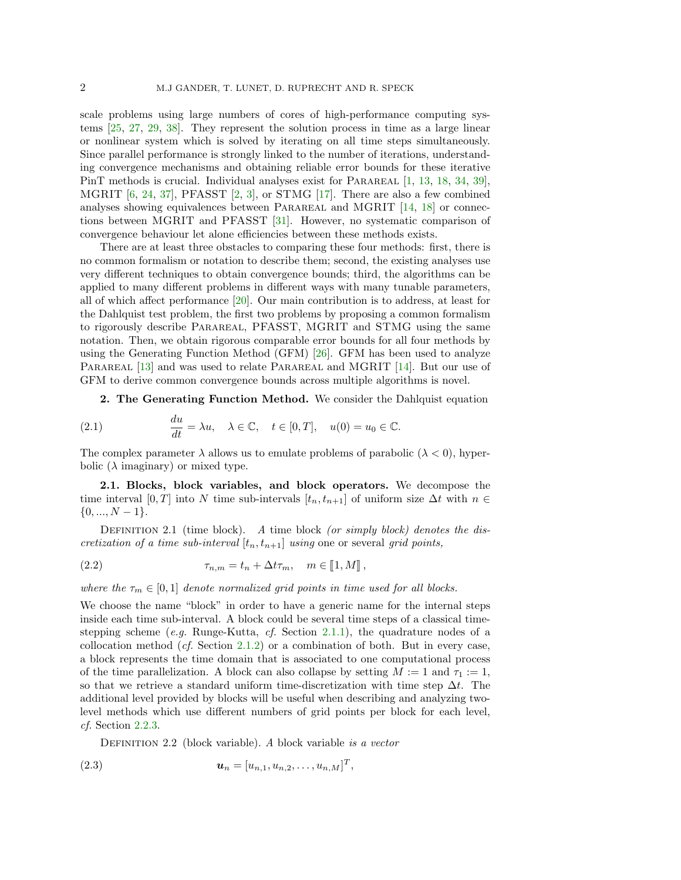scale problems using large numbers of cores of high-performance computing systems [\[25,](#page-23-4) [27,](#page-23-5) [29,](#page-23-6) [38\]](#page-23-7). They represent the solution process in time as a large linear or nonlinear system which is solved by iterating on all time steps simultaneously. Since parallel performance is strongly linked to the number of iterations, understanding convergence mechanisms and obtaining reliable error bounds for these iterative PinT methods is crucial. Individual analyses exist for PARAREAL [\[1,](#page-22-7) [13,](#page-22-8) [18,](#page-22-9) [34,](#page-23-8) [39\]](#page-23-9), MGRIT [\[6,](#page-22-10) [24,](#page-23-10) [37\]](#page-23-11), PFASST [\[2,](#page-22-11) [3\]](#page-22-12), or STMG [\[17\]](#page-22-3). There are also a few combined analyses showing equivalences between PARAREAL and MGRIT  $[14, 18]$  $[14, 18]$  $[14, 18]$  or connections between MGRIT and PFASST [\[31\]](#page-23-12). However, no systematic comparison of convergence behaviour let alone efficiencies between these methods exists.

There are at least three obstacles to comparing these four methods: first, there is no common formalism or notation to describe them; second, the existing analyses use very different techniques to obtain convergence bounds; third, the algorithms can be applied to many different problems in different ways with many tunable parameters, all of which affect performance [\[20\]](#page-23-13). Our main contribution is to address, at least for the Dahlquist test problem, the first two problems by proposing a common formalism to rigorously describe Parareal, PFASST, MGRIT and STMG using the same notation. Then, we obtain rigorous comparable error bounds for all four methods by using the Generating Function Method (GFM) [\[26\]](#page-23-14). GFM has been used to analyze PARAREAL [\[13\]](#page-22-8) and was used to relate PARAREAL and MGRIT [\[14\]](#page-22-13). But our use of GFM to derive common convergence bounds across multiple algorithms is novel.

<span id="page-1-0"></span>2. The Generating Function Method. We consider the Dahlquist equation

(2.1) 
$$
\frac{du}{dt} = \lambda u, \quad \lambda \in \mathbb{C}, \quad t \in [0, T], \quad u(0) = u_0 \in \mathbb{C}.
$$

The complex parameter  $\lambda$  allows us to emulate problems of parabolic  $(\lambda < 0)$ , hyperbolic  $(\lambda \text{ imaginary})$  or mixed type.

2.1. Blocks, block variables, and block operators. We decompose the time interval [0, T] into N time sub-intervals  $[t_n, t_{n+1}]$  of uniform size  $\Delta t$  with  $n \in$  $\{0, ..., N-1\}.$ 

<span id="page-1-1"></span>DEFINITION 2.1 (time block). A time block (or simply block) denotes the discretization of a time sub-interval  $[t_n, t_{n+1}]$  using one or several grid points,

(2.2) 
$$
\tau_{n,m} = t_n + \Delta t \tau_m, \quad m \in [\![1, M]\!],
$$

where the  $\tau_m \in [0,1]$  denote normalized grid points in time used for all blocks.

We choose the name "block" in order to have a generic name for the internal steps inside each time sub-interval. A block could be several time steps of a classical time-stepping scheme (e.g. Runge-Kutta, cf. Section [2.1.1\)](#page-2-0), the quadrature nodes of a collocation method (*cf.* Section [2.1.2\)](#page-2-1) or a combination of both. But in every case, a block represents the time domain that is associated to one computational process of the time parallelization. A block can also collapse by setting  $M := 1$  and  $\tau_1 := 1$ , so that we retrieve a standard uniform time-discretization with time step  $\Delta t$ . The additional level provided by blocks will be useful when describing and analyzing twolevel methods which use different numbers of grid points per block for each level, cf. Section [2.2.3.](#page-4-0)

DEFINITION 2.2 (block variable). A block variable is a vector

(2.3) 
$$
\mathbf{u}_n = [u_{n,1}, u_{n,2}, \dots, u_{n,M}]^T,
$$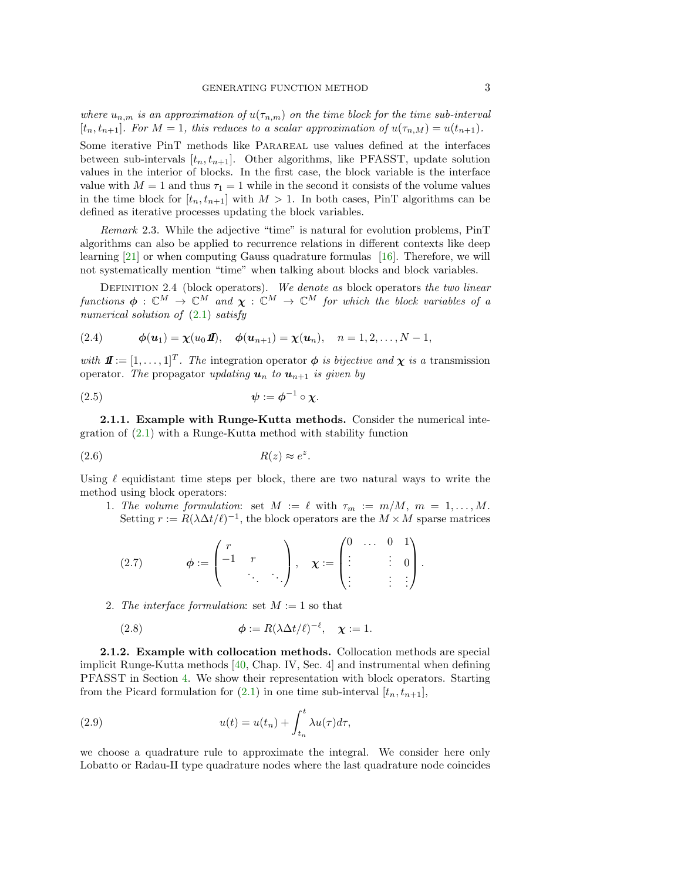where  $u_{n,m}$  is an approximation of  $u(\tau_{n,m})$  on the time block for the time sub-interval  $[t_n, t_{n+1}]$ . For  $M = 1$ , this reduces to a scalar approximation of  $u(\tau_{n,M}) = u(t_{n+1})$ .

Some iterative PinT methods like Parareal use values defined at the interfaces between sub-intervals  $[t_n, t_{n+1}]$ . Other algorithms, like PFASST, update solution values in the interior of blocks. In the first case, the block variable is the interface value with  $M = 1$  and thus  $\tau_1 = 1$  while in the second it consists of the volume values in the time block for  $[t_n, t_{n+1}]$  with  $M > 1$ . In both cases, PinT algorithms can be defined as iterative processes updating the block variables.

Remark 2.3. While the adjective "time" is natural for evolution problems, PinT algorithms can also be applied to recurrence relations in different contexts like deep learning [\[21\]](#page-23-15) or when computing Gauss quadrature formulas [\[16\]](#page-22-14). Therefore, we will not systematically mention "time" when talking about blocks and block variables.

<span id="page-2-2"></span>DEFINITION 2.4 (block operators). We denote as block operators the two linear functions  $\phi : \mathbb{C}^M \to \mathbb{C}^M$  and  $\chi : \mathbb{C}^M \to \mathbb{C}^M$  for which the block variables of a numerical solution of  $(2.1)$  satisfy

<span id="page-2-3"></span>(2.4) 
$$
\phi(\mathbf{u}_1) = \chi(u_0 \mathbf{I}), \quad \phi(\mathbf{u}_{n+1}) = \chi(\mathbf{u}_n), \quad n = 1, 2, ..., N-1,
$$

with  $\mathbf{\Pi} := [1, \dots, 1]^T$ . The integration operator  $\phi$  is bijective and  $\chi$  is a transmission operator. The propagator updating  $u_n$  to  $u_{n+1}$  is given by

$$
\psi := \phi^{-1} \circ \chi.
$$

<span id="page-2-0"></span>2.1.1. Example with Runge-Kutta methods. Consider the numerical integration of [\(2.1\)](#page-1-0) with a Runge-Kutta method with stability function

$$
(2.6) \t\t R(z) \approx e^z
$$

Using  $\ell$  equidistant time steps per block, there are two natural ways to write the method using block operators:

1. The volume formulation: set  $M := \ell$  with  $\tau_m := m/M, m = 1, \ldots, M$ . Setting  $r := R(\lambda \Delta t/\ell)^{-1}$ , the block operators are the  $M \times M$  sparse matrices

.

$$
(2.7) \qquad \phi := \begin{pmatrix} r \\ -1 & r \\ & \ddots & \ddots \end{pmatrix}, \quad \chi := \begin{pmatrix} 0 & \dots & 0 & 1 \\ \vdots & & \vdots & 0 \\ \vdots & & \vdots & \vdots \end{pmatrix}.
$$

2. The interface formulation: set  $M := 1$  so that

<span id="page-2-4"></span>(2.8) 
$$
\phi := R(\lambda \Delta t/\ell)^{-\ell}, \quad \chi := 1.
$$

<span id="page-2-1"></span>2.1.2. Example with collocation methods. Collocation methods are special implicit Runge-Kutta methods [\[40,](#page-23-16) Chap. IV, Sec. 4] and instrumental when defining PFASST in Section [4.](#page-10-0) We show their representation with block operators. Starting from the Picard formulation for  $(2.1)$  in one time sub-interval  $[t_n, t_{n+1}]$ ,

(2.9) 
$$
u(t) = u(t_n) + \int_{t_n}^t \lambda u(\tau) d\tau,
$$

we choose a quadrature rule to approximate the integral. We consider here only Lobatto or Radau-II type quadrature nodes where the last quadrature node coincides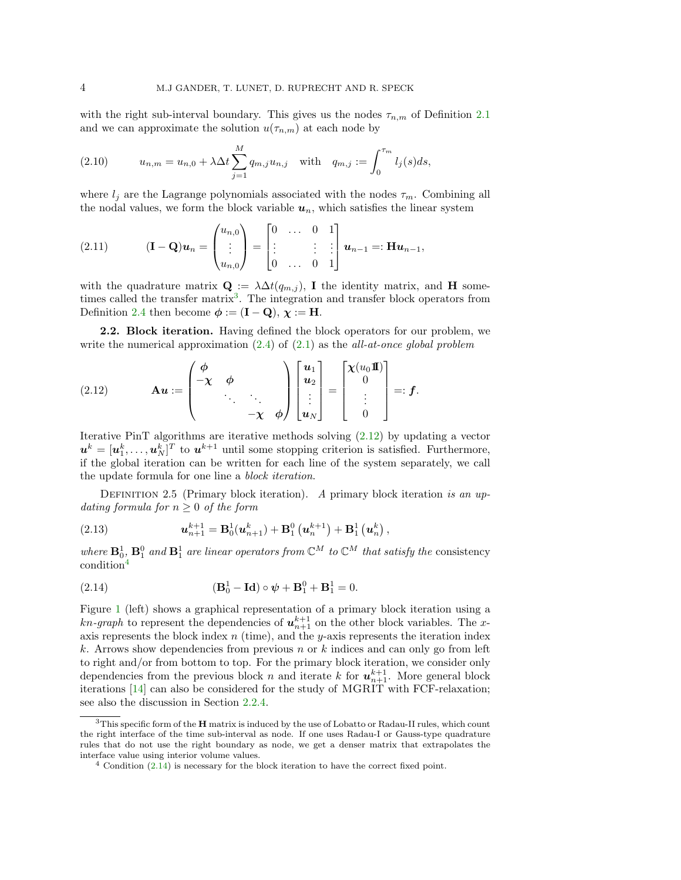with the right sub-interval boundary. This gives us the nodes  $\tau_{n,m}$  of Definition [2.1](#page-1-1) and we can approximate the solution  $u(\tau_{n,m})$  at each node by

(2.10) 
$$
u_{n,m} = u_{n,0} + \lambda \Delta t \sum_{j=1}^{M} q_{m,j} u_{n,j} \text{ with } q_{m,j} := \int_{0}^{\tau_m} l_j(s) ds,
$$

where  $l_j$  are the Lagrange polynomials associated with the nodes  $\tau_m$ . Combining all the nodal values, we form the block variable  $u_n$ , which satisfies the linear system

<span id="page-3-5"></span>(2.11) 
$$
(\mathbf{I} - \mathbf{Q})\mathbf{u}_n = \begin{pmatrix} u_{n,0} \\ \vdots \\ u_{n,0} \end{pmatrix} = \begin{bmatrix} 0 & \dots & 0 & 1 \\ \vdots & & \vdots & \vdots \\ 0 & \dots & 0 & 1 \end{bmatrix} \mathbf{u}_{n-1} =: \mathbf{H} \mathbf{u}_{n-1},
$$

with the quadrature matrix  $\mathbf{Q} := \lambda \Delta t(q_{m,j})$ , I the identity matrix, and H some-times called the transfer matrix<sup>[3](#page-3-0)</sup>. The integration and transfer block operators from Definition [2.4](#page-2-2) then become  $\phi := (\mathbf{I} - \mathbf{Q}), \chi := \mathbf{H}.$ 

2.2. Block iteration. Having defined the block operators for our problem, we write the numerical approximation  $(2.4)$  of  $(2.1)$  as the *all-at-once global problem* 

<span id="page-3-1"></span>(2.12) 
$$
\mathbf{A}\mathbf{u} := \begin{pmatrix} \phi & & & \\ -\chi & \phi & & \\ & \ddots & \ddots & \\ & & -\chi & \phi \end{pmatrix} \begin{bmatrix} \mathbf{u}_1 \\ \mathbf{u}_2 \\ \vdots \\ \mathbf{u}_N \end{bmatrix} = \begin{bmatrix} \chi(u_0 \mathbf{I}) \\ 0 \\ \vdots \\ 0 \end{bmatrix} =: \mathbf{f}.
$$

Iterative PinT algorithms are iterative methods solving [\(2.12\)](#page-3-1) by updating a vector  $u^k = [u_1^k, \ldots, u_N^k]^T$  to  $u^{k+1}$  until some stopping criterion is satisfied. Furthermore, if the global iteration can be written for each line of the system separately, we call the update formula for one line a block iteration.

DEFINITION 2.5 (Primary block iteration). A primary block iteration is an updating formula for  $n \geq 0$  of the form

<span id="page-3-4"></span>(2.13) 
$$
\mathbf{u}_{n+1}^{k+1} = \mathbf{B}_0^1(\mathbf{u}_{n+1}^k) + \mathbf{B}_1^0(\mathbf{u}_n^{k+1}) + \mathbf{B}_1^1(\mathbf{u}_n^k),
$$

where  $\mathbf{B}_0^1$ ,  $\mathbf{B}_1^0$  and  $\mathbf{B}_1^1$  are linear operators from  $\mathbb{C}^M$  to  $\mathbb{C}^M$  that satisfy the consistency condition[4](#page-3-2)

<span id="page-3-3"></span>(2.14) 
$$
(\mathbf{B}_0^1 - \mathbf{Id}) \circ \psi + \mathbf{B}_1^0 + \mathbf{B}_1^1 = 0.
$$

Figure [1](#page-4-1) (left) shows a graphical representation of a primary block iteration using a  $kn\text{-}graph$  to represent the dependencies of  $u_{n+1}^{k+1}$  on the other block variables. The xaxis represents the block index  $n$  (time), and the y-axis represents the iteration index k. Arrows show dependencies from previous n or k indices and can only go from left to right and/or from bottom to top. For the primary block iteration, we consider only dependencies from the previous block n and iterate k for  $u_{n+1}^{k+1}$ . More general block iterations [\[14\]](#page-22-13) can also be considered for the study of  $MGRIT$  with FCF-relaxation; see also the discussion in Section [2.2.4.](#page-6-0)

<span id="page-3-0"></span><sup>&</sup>lt;sup>3</sup>This specific form of the **H** matrix is induced by the use of Lobatto or Radau-II rules, which count the right interface of the time sub-interval as node. If one uses Radau-I or Gauss-type quadrature rules that do not use the right boundary as node, we get a denser matrix that extrapolates the interface value using interior volume values.

<span id="page-3-2"></span> $4$  Condition  $(2.14)$  is necessary for the block iteration to have the correct fixed point.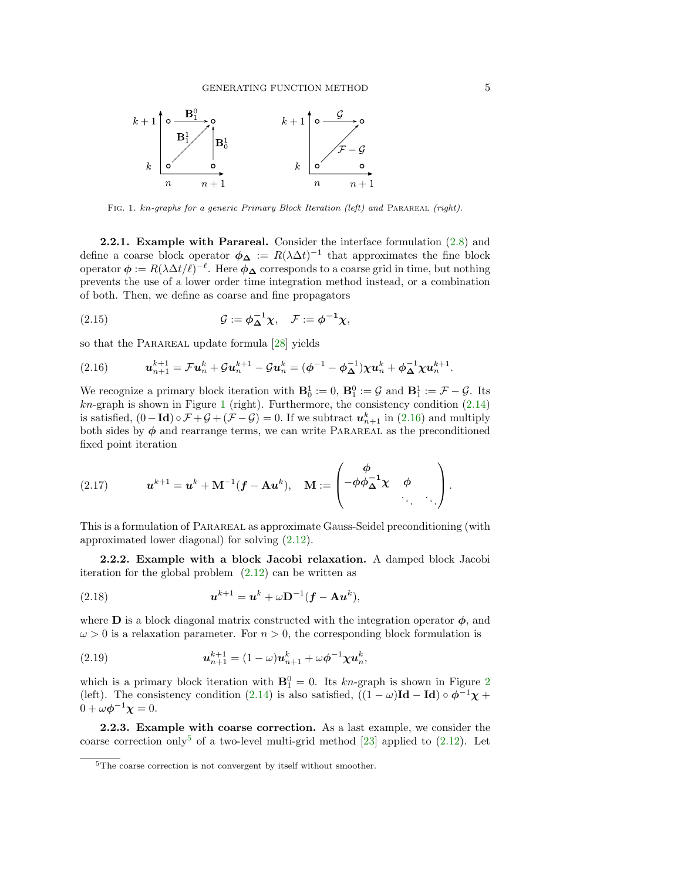<span id="page-4-1"></span>

FIG. 1. kn-graphs for a generic Primary Block Iteration (left) and PARAREAL (right).

<span id="page-4-4"></span>2.2.1. Example with Parareal. Consider the interface formulation [\(2.8\)](#page-2-4) and define a coarse block operator  $\phi_{\Delta} := R(\lambda \Delta t)^{-1}$  that approximates the fine block operator  $\phi := R(\lambda \Delta t/\ell)^{-\ell}$ . Here  $\phi_{\Delta}$  corresponds to a coarse grid in time, but nothing prevents the use of a lower order time integration method instead, or a combination of both. Then, we define as coarse and fine propagators

(2.15) 
$$
\mathcal{G} := \phi_{\Delta}^{-1} \chi, \quad \mathcal{F} := \phi^{-1} \chi,
$$

so that the PARAREAL update formula [\[28\]](#page-23-1) yields

<span id="page-4-2"></span>(2.16) 
$$
\mathbf{u}_{n+1}^{k+1} = \mathcal{F}\mathbf{u}_n^k + \mathcal{G}\mathbf{u}_n^{k+1} - \mathcal{G}\mathbf{u}_n^k = (\phi^{-1} - \phi_{\Delta}^{-1})\chi \mathbf{u}_n^k + \phi_{\Delta}^{-1}\chi \mathbf{u}_n^{k+1}.
$$

We recognize a primary block iteration with  $\mathbf{B}_0^1 := 0$ ,  $\mathbf{B}_1^0 := \mathcal{G}$  and  $\mathbf{B}_1^1 := \mathcal{F} - \mathcal{G}$ . Its  $kn$ -graph is shown in Figure [1](#page-4-1) (right). Furthermore, the consistency condition  $(2.14)$ is satisfied,  $(0 - \text{Id}) \circ \mathcal{F} + \mathcal{G} + (\mathcal{F} - \mathcal{G}) = 0$ . If we subtract  $u_{n+1}^k$  in  $(2.16)$  and multiply both sides by  $\phi$  and rearrange terms, we can write PARAREAL as the preconditioned fixed point iteration

<span id="page-4-5"></span>(2.17) 
$$
\mathbf{u}^{k+1} = \mathbf{u}^k + \mathbf{M}^{-1}(\mathbf{f} - \mathbf{A}\mathbf{u}^k), \quad \mathbf{M} := \begin{pmatrix} \phi \\ -\phi\phi_{\mathbf{\Delta}}^{-1}\chi & \phi \\ \vdots & \vdots \end{pmatrix}.
$$

This is a formulation of Parareal as approximate Gauss-Seidel preconditioning (with approximated lower diagonal) for solving [\(2.12\)](#page-3-1).

<span id="page-4-6"></span>2.2.2. Example with a block Jacobi relaxation. A damped block Jacobi iteration for the global problem  $(2.12)$  can be written as

$$
(2.18) \t\t\t  $u^{k+1} = u^k + \omega \mathbf{D}^{-1} (\mathbf{f} - \mathbf{A} u^k),$
$$

where **D** is a block diagonal matrix constructed with the integration operator  $\phi$ , and  $\omega > 0$  is a relaxation parameter. For  $n > 0$ , the corresponding block formulation is

(2.19) 
$$
\mathbf{u}_{n+1}^{k+1} = (1 - \omega)\mathbf{u}_{n+1}^k + \omega \phi^{-1} \chi \mathbf{u}_n^k,
$$

which is a primary block iteration with  $\mathbf{B}_1^0 = 0$ . Its kn-graph is shown in Figure [2](#page-5-0) (left). The consistency condition [\(2.14\)](#page-3-3) is also satisfied,  $((1 - \omega)Id - Id) \circ \phi^{-1}\chi +$  $0 + \omega \phi^{-1} \chi = 0.$ 

<span id="page-4-0"></span>2.2.3. Example with coarse correction. As a last example, we consider the coarse correction only<sup>[5](#page-4-3)</sup> of a two-level multi-grid method [\[23\]](#page-23-17) applied to  $(2.12)$ . Let

<span id="page-4-3"></span><sup>&</sup>lt;sup>5</sup>The coarse correction is not convergent by itself without smoother.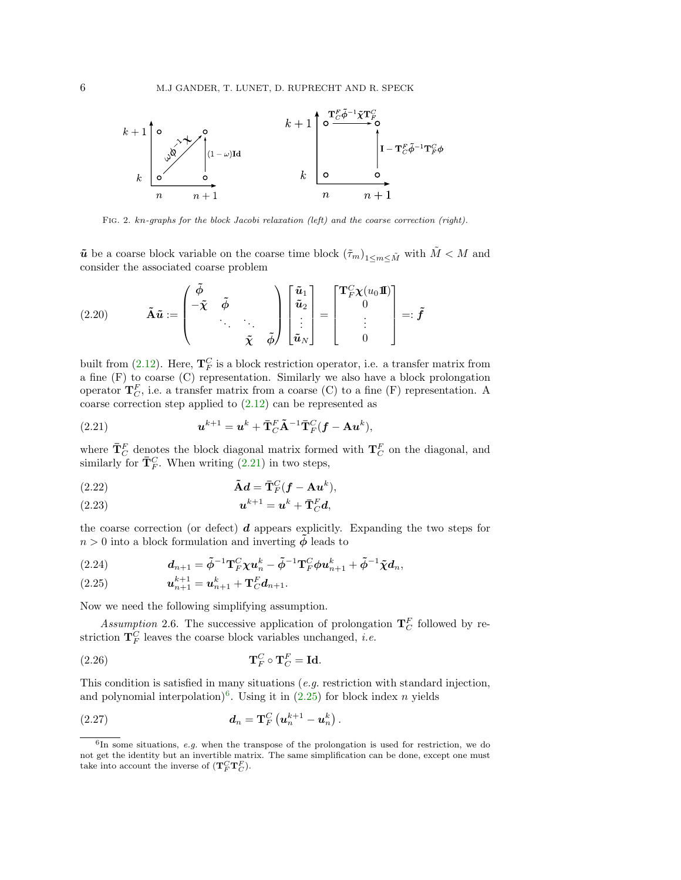<span id="page-5-0"></span>

Fig. 2. kn-graphs for the block Jacobi relaxation (left) and the coarse correction (right).

 $\tilde{u}$  be a coarse block variable on the coarse time block  $(\tilde{\tau}_m)_{1 \le m \le \tilde{M}}$  with  $\tilde{M} < M$  and consider the associated coarse problem

(2.20) 
$$
\tilde{\mathbf{A}}\tilde{\mathbf{u}} := \begin{pmatrix} \tilde{\phi} & & & \\ -\tilde{\chi} & \tilde{\phi} & & \\ & \ddots & \ddots & \\ & & \tilde{\chi} & \tilde{\phi} \end{pmatrix} \begin{bmatrix} \tilde{\mathbf{u}}_1 \\ \tilde{\mathbf{u}}_2 \\ \vdots \\ \tilde{\mathbf{u}}_N \end{bmatrix} = \begin{bmatrix} \mathbf{T}_F^C \chi(u_0 \mathbf{I}) \\ 0 \\ \vdots \\ 0 \end{bmatrix} =: \tilde{\mathbf{f}}
$$

built from [\(2.12\)](#page-3-1). Here,  $\mathbf{T}_F^C$  is a block restriction operator, i.e. a transfer matrix from a fine (F) to coarse (C) representation. Similarly we also have a block prolongation operator  $\mathbf{T}_{C}^{F}$ , i.e. a transfer matrix from a coarse (C) to a fine (F) representation. A coarse correction step applied to [\(2.12\)](#page-3-1) can be represented as

<span id="page-5-1"></span>(2.21) 
$$
\mathbf{u}^{k+1} = \mathbf{u}^k + \mathbf{\bar{T}}_C^F \mathbf{\tilde{A}}^{-1} \mathbf{\bar{T}}_F^C (\mathbf{f} - \mathbf{A} \mathbf{u}^k),
$$

where  $\bar{\mathbf{T}}_C^F$  denotes the block diagonal matrix formed with  $\mathbf{T}_C^F$  on the diagonal, and similarly for  $\bar{\mathbf{T}}_F^C$ . When writing [\(2.21\)](#page-5-1) in two steps,

(2.22) 
$$
\tilde{\mathbf{A}}\mathbf{d} = \bar{\mathbf{T}}_F^C(\mathbf{f} - \mathbf{A}\mathbf{u}^k),
$$

$$
(2.23) \t\t\t  $u^{k+1} = u^k + \overline{\mathbf{T}}_C^F d,$
$$

the coarse correction (or defect)  $d$  appears explicitly. Expanding the two steps for  $n > 0$  into a block formulation and inverting  $\phi$  leads to

<span id="page-5-4"></span>(2.24) 
$$
d_{n+1} = \tilde{\phi}^{-1} \mathbf{T}_{F}^{C} \chi u_{n}^{k} - \tilde{\phi}^{-1} \mathbf{T}_{F}^{C} \phi u_{n+1}^{k} + \tilde{\phi}^{-1} \tilde{\chi} d_{n},
$$

<span id="page-5-5"></span><span id="page-5-3"></span>(2.25) 
$$
\mathbf{u}_{n+1}^{k+1} = \mathbf{u}_{n+1}^k + \mathbf{T}_C^F \mathbf{d}_{n+1}.
$$

Now we need the following simplifying assumption.

Assumption 2.6. The successive application of prolongation  $\mathbf{T}_C^F$  followed by restriction  $T_F^C$  leaves the coarse block variables unchanged, *i.e.* 

(2.26) 
$$
\mathbf{T}_F^C \circ \mathbf{T}_C^F = \mathbf{Id}.
$$

This condition is satisfied in many situations (e.g. restriction with standard injection, and polynomial interpolation)<sup>[6](#page-5-2)</sup>. Using it in  $(2.25)$  for block index *n* yields

(2.27) 
$$
d_n = \mathbf{T}_F^C \left( \mathbf{u}_n^{k+1} - \mathbf{u}_n^k \right).
$$

<span id="page-5-2"></span> $6$ In some situations, e.g. when the transpose of the prolongation is used for restriction, we do not get the identity but an invertible matrix. The same simplification can be done, except one must take into account the inverse of  $(\mathbf{T}_F^C \mathbf{T}_C^F)$ .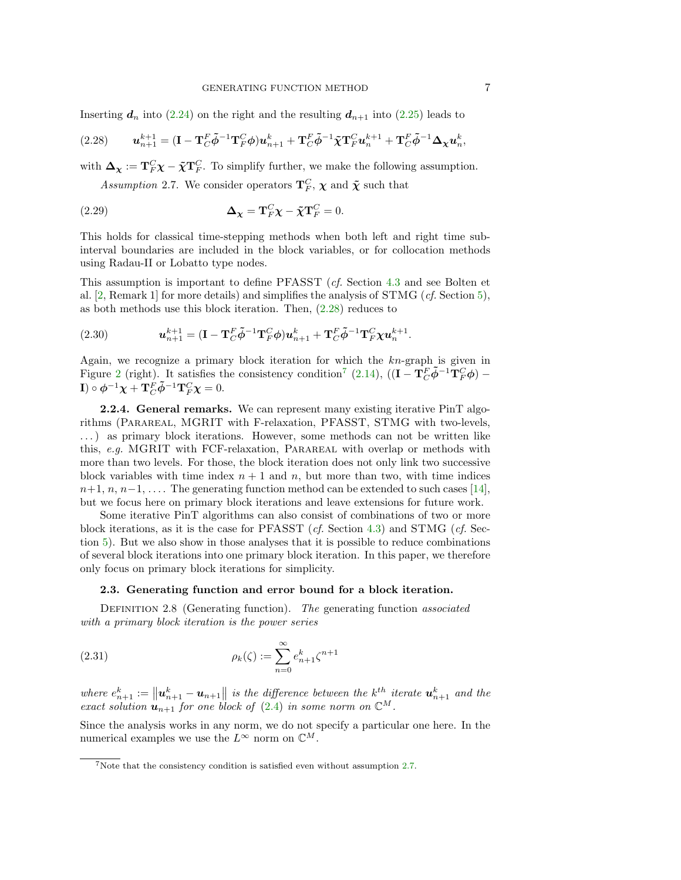Inserting  $d_n$  into [\(2.24\)](#page-5-4) on the right and the resulting  $d_{n+1}$  into [\(2.25\)](#page-5-3) leads to

<span id="page-6-1"></span>(2.28) 
$$
\mathbf{u}_{n+1}^{k+1} = (\mathbf{I} - \mathbf{T}_C^F \tilde{\boldsymbol{\phi}}^{-1} \mathbf{T}_F^C \boldsymbol{\phi}) \mathbf{u}_{n+1}^k + \mathbf{T}_C^F \tilde{\boldsymbol{\phi}}^{-1} \tilde{\boldsymbol{\chi}} \mathbf{T}_F^C \mathbf{u}_n^{k+1} + \mathbf{T}_C^F \tilde{\boldsymbol{\phi}}^{-1} \boldsymbol{\Delta}_{\boldsymbol{\chi}} \mathbf{u}_n^k
$$

with  $\Delta_{\chi} := \mathbf{T}_{F}^{C} \chi - \tilde{\chi} \mathbf{T}_{F}^{C}$ . To simplify further, we make the following assumption.

Assumption 2.7. We consider operators  $\mathbf{T}_F^C$ ,  $\boldsymbol{\chi}$  and  $\boldsymbol{\tilde{\chi}}$  such that

(2.29) 
$$
\Delta_{\chi} = \mathbf{T}_{F}^{C} \chi - \tilde{\chi} \mathbf{T}_{F}^{C} = 0.
$$

This holds for classical time-stepping methods when both left and right time subinterval boundaries are included in the block variables, or for collocation methods using Radau-II or Lobatto type nodes.

This assumption is important to define PFASST (cf. Section [4.3](#page-13-0) and see Bolten et al. [\[2,](#page-22-11) Remark 1] for more details) and simplifies the analysis of  $STMG$  (*cf.* Section [5\)](#page-15-0), as both methods use this block iteration. Then, [\(2.28\)](#page-6-1) reduces to

<span id="page-6-6"></span>(2.30) 
$$
\mathbf{u}_{n+1}^{k+1} = (\mathbf{I} - \mathbf{T}_C^F \tilde{\boldsymbol{\phi}}^{-1} \mathbf{T}_F^C \boldsymbol{\phi}) \mathbf{u}_{n+1}^k + \mathbf{T}_C^F \tilde{\boldsymbol{\phi}}^{-1} \mathbf{T}_F^C \boldsymbol{\chi} \mathbf{u}_n^{k+1}.
$$

Again, we recognize a primary block iteration for which the  $kn$ -graph is given in Figure [2](#page-5-0) (right). It satisfies the consistency condition<sup>[7](#page-6-2)</sup> [\(2.14\)](#page-3-3),  $((\mathbf{I} - \mathbf{T}_{C}^{F} \tilde{\boldsymbol{\phi}}^{-1} \mathbf{T}_{F}^{C} \boldsymbol{\phi})$  –  $\mathbf{I}) \circ \boldsymbol{\phi}^{-1} \boldsymbol{\chi} + \mathbf{T}_{C}^{F} \tilde{\boldsymbol{\phi}}^{-1} \mathbf{T}_{F}^{C} \boldsymbol{\chi} = 0.$ 

<span id="page-6-0"></span>2.2.4. General remarks. We can represent many existing iterative PinT algorithms (Parareal, MGRIT with F-relaxation, PFASST, STMG with two-levels, . . . ) as primary block iterations. However, some methods can not be written like this, e.g. MGRIT with FCF-relaxation, Parareal with overlap or methods with more than two levels. For those, the block iteration does not only link two successive block variables with time index  $n + 1$  and n, but more than two, with time indices  $n+1, n, n-1, \ldots$  The generating function method can be extended to such cases [\[14\]](#page-22-13), but we focus here on primary block iterations and leave extensions for future work.

Some iterative PinT algorithms can also consist of combinations of two or more block iterations, as it is the case for PFASST ( $cf.$  Section [4.3\)](#page-13-0) and STMG ( $cf.$  Section [5\)](#page-15-0). But we also show in those analyses that it is possible to reduce combinations of several block iterations into one primary block iteration. In this paper, we therefore only focus on primary block iterations for simplicity.

## <span id="page-6-4"></span>2.3. Generating function and error bound for a block iteration.

DEFINITION 2.8 (Generating function). The generating function associated with a primary block iteration is the power series

(2.31) 
$$
\rho_k(\zeta) := \sum_{n=0}^{\infty} e_{n+1}^k \zeta^{n+1}
$$

where  $e_{n+1}^k := ||u_{n+1}^k - u_{n+1}||$  is the difference between the  $k^{th}$  iterate  $u_{n+1}^k$  and the exact solution  $\mathbf{u}_{n+1}$  for one block of [\(2.4\)](#page-2-3) in some norm on  $\mathbb{C}^M$ .

Since the analysis works in any norm, we do not specify a particular one here. In the numerical examples we use the  $L^{\infty}$  norm on  $\mathbb{C}^{M}$ .

<span id="page-6-3"></span>,

<span id="page-6-5"></span><span id="page-6-2"></span><sup>7</sup>Note that the consistency condition is satisfied even without assumption [2.7.](#page-6-3)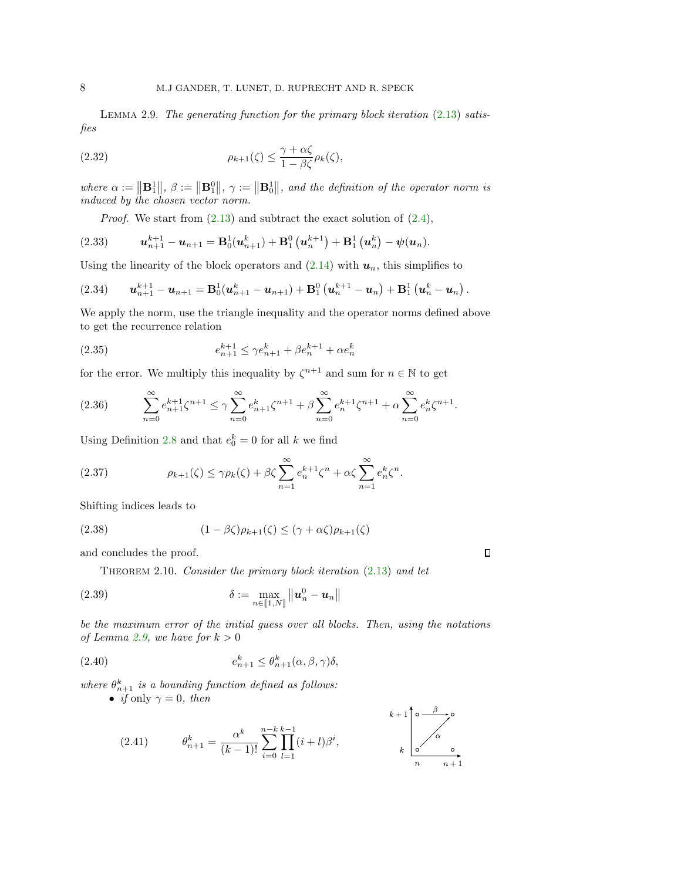LEMMA 2.9. The generating function for the primary block iteration  $(2.13)$  satisfies

(2.32) 
$$
\rho_{k+1}(\zeta) \leq \frac{\gamma + \alpha \zeta}{1 - \beta \zeta} \rho_k(\zeta),
$$

where  $\alpha := \|\mathbf{B}_1^1\|$ ,  $\beta := \|\mathbf{B}_1^0\|$ ,  $\gamma := \|\mathbf{B}_0^1\|$ , and the definition of the operator norm is induced by the chosen vector norm.

*Proof.* We start from  $(2.13)$  and subtract the exact solution of  $(2.4)$ ,

(2.33) 
$$
\mathbf{u}_{n+1}^{k+1} - \mathbf{u}_{n+1} = \mathbf{B}_0^1(\mathbf{u}_{n+1}^k) + \mathbf{B}_1^0(\mathbf{u}_n^{k+1}) + \mathbf{B}_1^1(\mathbf{u}_n^k) - \psi(\mathbf{u}_n).
$$

Using the linearity of the block operators and  $(2.14)$  with  $u_n$ , this simplifies to

<span id="page-7-1"></span>
$$
(2.34) \qquad \mathbf{u}_{n+1}^{k+1} - \mathbf{u}_{n+1} = \mathbf{B}_0^1(\mathbf{u}_{n+1}^k - \mathbf{u}_{n+1}) + \mathbf{B}_1^0(\mathbf{u}_n^{k+1} - \mathbf{u}_n) + \mathbf{B}_1^1(\mathbf{u}_n^k - \mathbf{u}_n).
$$

We apply the norm, use the triangle inequality and the operator norms defined above to get the recurrence relation

(2.35) 
$$
e_{n+1}^{k+1} \leq \gamma e_{n+1}^k + \beta e_n^{k+1} + \alpha e_n^k
$$

for the error. We multiply this inequality by  $\zeta^{n+1}$  and sum for  $n \in \mathbb{N}$  to get

$$
(2.36) \qquad \sum_{n=0}^{\infty} e_{n+1}^{k+1} \zeta^{n+1} \le \gamma \sum_{n=0}^{\infty} e_{n+1}^{k} \zeta^{n+1} + \beta \sum_{n=0}^{\infty} e_n^{k+1} \zeta^{n+1} + \alpha \sum_{n=0}^{\infty} e_n^{k} \zeta^{n+1}.
$$

Using Definition [2.8](#page-6-4) and that  $e_0^k = 0$  for all k we find

(2.37) 
$$
\rho_{k+1}(\zeta) \leq \gamma \rho_k(\zeta) + \beta \zeta \sum_{n=1}^{\infty} e_n^{k+1} \zeta^n + \alpha \zeta \sum_{n=1}^{\infty} e_n^k \zeta^n.
$$

Shifting indices leads to

(2.38) 
$$
(1 - \beta \zeta)\rho_{k+1}(\zeta) \le (\gamma + \alpha \zeta)\rho_{k+1}(\zeta)
$$

<span id="page-7-0"></span>and concludes the proof.

THEOREM 2.10. Consider the primary block iteration  $(2.13)$  and let

(2.39) 
$$
\delta := \max_{n \in [\![1,N]\!]}\left\|\boldsymbol{u}_n^0 - \boldsymbol{u}_n\right\|
$$

be the maximum error of the initial guess over all blocks. Then, using the notations of Lemma [2.9,](#page-6-5) we have for  $k > 0$ 

 $\Box$ 

(2.40) 
$$
e_{n+1}^k \leq \theta_{n+1}^k(\alpha, \beta, \gamma)\delta,
$$

where  $\theta_{n+1}^k$  is a bounding function defined as follows:

• *if* only  $\gamma = 0$ , then

(2.41) 
$$
\theta_{n+1}^k = \frac{\alpha^k}{(k-1)!} \sum_{i=0}^{n-k} \prod_{l=1}^{k-1} (i+l)\beta^i,
$$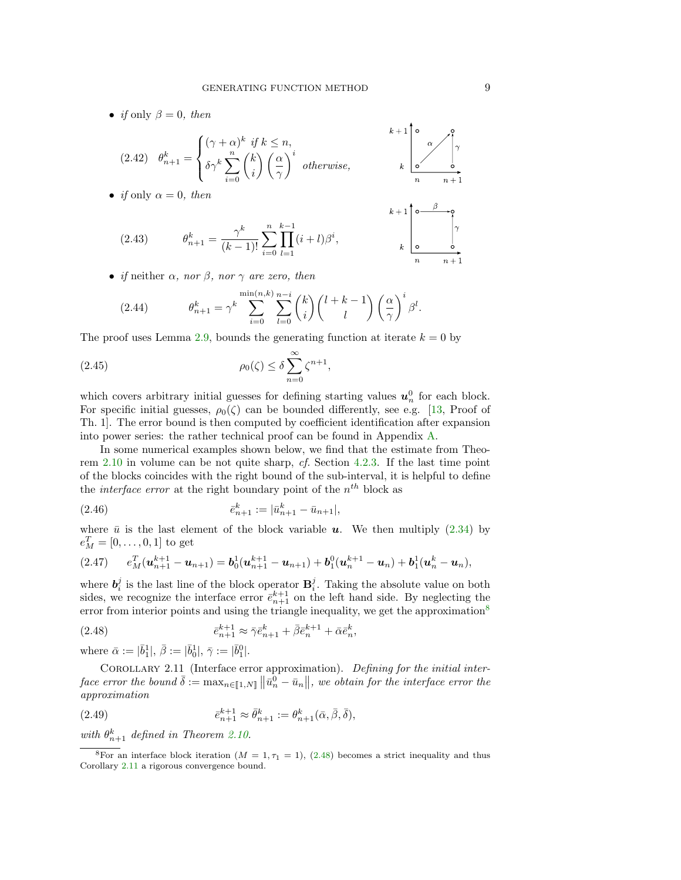• *if* only  $\beta = 0$ , then

$$
(2.42) \quad \theta_{n+1}^{k} = \begin{cases} (\gamma + \alpha)^{k} & \text{if } k \le n, \\ \delta \gamma^{k} \sum_{i=0}^{n} \binom{k}{i} \left(\frac{\alpha}{\gamma}\right)^{i} & \text{otherwise,} \end{cases} k + 1 \begin{bmatrix} 0 & \alpha \\ \alpha & \beta \\ \alpha & \beta \end{bmatrix}
$$
\n
$$
\text{if only } \alpha = 0, \text{ then}
$$
\n
$$
k + 1 \begin{bmatrix} 0 & \beta \\ \alpha & \beta \end{bmatrix}
$$

• *if* only  $\alpha = 0$ , then

(2.43) 
$$
\theta_{n+1}^k = \frac{\gamma^k}{(k-1)!} \sum_{i=0}^n \prod_{l=1}^{k-1} (i+l)\beta^i, \qquad k \geq 0
$$

• if neither  $\alpha$ , nor  $\beta$ , nor  $\gamma$  are zero, then

(2.44) 
$$
\theta_{n+1}^k = \gamma^k \sum_{i=0}^{\min(n,k)} \sum_{l=0}^{n-i} {k \choose i} {l+k-1 \choose l} \left(\frac{\alpha}{\gamma}\right)^i \beta^l.
$$

The proof uses Lemma [2.9,](#page-6-5) bounds the generating function at iterate  $k = 0$  by

(2.45) 
$$
\rho_0(\zeta) \leq \delta \sum_{n=0}^{\infty} \zeta^{n+1},
$$

which covers arbitrary initial guesses for defining starting values  $u_n^0$  for each block. For specific initial guesses,  $\rho_0(\zeta)$  can be bounded differently, see e.g. [\[13,](#page-22-8) Proof of Th. 1]. The error bound is then computed by coefficient identification after expansion into power series: the rather technical proof can be found in Appendix [A.](#page-19-0)

In some numerical examples shown below, we find that the estimate from Theorem [2.10](#page-7-0) in volume can be not quite sharp, cf. Section [4.2.3.](#page-12-0) If the last time point of the blocks coincides with the right bound of the sub-interval, it is helpful to define the *interface error* at the right boundary point of the  $n^{th}$  block as

(2.46) 
$$
\bar{e}_{n+1}^k := |\bar{u}_{n+1}^k - \bar{u}_{n+1}|,
$$

where  $\bar{u}$  is the last element of the block variable **u**. We then multiply [\(2.34\)](#page-7-1) by  $e_M^T = [0, \ldots, 0, 1]$  to get

$$
(2.47) \qquad e_M^T(\mathbf{u}_{n+1}^{k+1} - \mathbf{u}_{n+1}) = \mathbf{b}_0^1(\mathbf{u}_{n+1}^{k+1} - \mathbf{u}_{n+1}) + \mathbf{b}_1^0(\mathbf{u}_n^{k+1} - \mathbf{u}_n) + \mathbf{b}_1^1(\mathbf{u}_n^k - \mathbf{u}_n),
$$

where  $\mathbf{b}_i^j$  is the last line of the block operator  $\mathbf{B}_i^j$ . Taking the absolute value on both sides, we recognize the interface error  $\bar{e}_{n+1}^{k+1}$  on the left hand side. By neglecting the error from interior points and using the triangle inequality, we get the approximation<sup>[8](#page-8-0)</sup>

<span id="page-8-1"></span>(2.48) 
$$
\bar{e}_{n+1}^{k+1} \approx \bar{\gamma} \bar{e}_{n+1}^k + \bar{\beta} \bar{e}_n^{k+1} + \bar{\alpha} \bar{e}_n^k,
$$

<span id="page-8-2"></span>where  $\bar{\alpha} := |\bar{b}_1^1|, \, \bar{\beta} := |\bar{b}_0^1|, \, \bar{\gamma} := |\bar{b}_1^0|.$ 

COROLLARY 2.11 (Interface error approximation). Defining for the initial interface error the bound  $\bar{\delta} := \max_{n \in [1, N]} ||\bar{u}_n^0 - \bar{u}_n||$ , we obtain for the interface error the approximation

(2.49) 
$$
\bar{e}_{n+1}^{k+1} \approx \bar{\theta}_{n+1}^k := \theta_{n+1}^k(\bar{\alpha}, \bar{\beta}, \bar{\delta}),
$$

with  $\theta_{n+1}^k$  defined in Theorem [2.10.](#page-7-0)

<span id="page-8-0"></span><sup>&</sup>lt;sup>8</sup>For an interface block iteration  $(M = 1, \tau_1 = 1)$ , [\(2.48\)](#page-8-1) becomes a strict inequality and thus Corollary [2.11](#page-8-2) a rigorous convergence bound.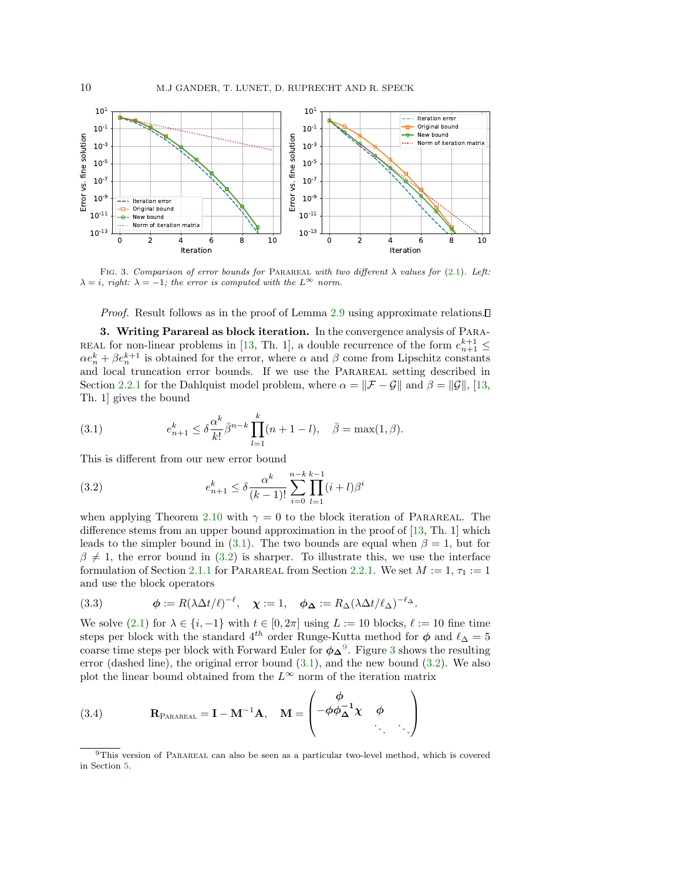<span id="page-9-3"></span>

FIG. 3. Comparison of error bounds for PARAREAL with two different  $\lambda$  values for [\(2.1\)](#page-1-0). Left:  $\lambda = i$ , right:  $\lambda = -1$ ; the error is computed with the  $L^{\infty}$  norm.

Proof. Result follows as in the proof of Lemma [2.9](#page-6-5) using approximate relations.

<span id="page-9-4"></span>3. Writing Parareal as block iteration. In the convergence analysis of Para-REAL for non-linear problems in [\[13,](#page-22-8) Th. 1], a double recurrence of the form  $e_{n+1}^{k+1} \leq$  $\alpha e_n^k + \beta e_n^{k+1}$  is obtained for the error, where  $\alpha$  and  $\beta$  come from Lipschitz constants and local truncation error bounds. If we use the Parareal setting described in Section [2.2.1](#page-4-4) for the Dahlquist model problem, where  $\alpha = \|\mathcal{F} - \mathcal{G}\|$  and  $\beta = \|\mathcal{G}\|$ , [\[13,](#page-22-8) Th. 1] gives the bound

<span id="page-9-0"></span>(3.1) 
$$
e_{n+1}^k \leq \delta \frac{\alpha^k}{k!} \bar{\beta}^{n-k} \prod_{l=1}^k (n+1-l), \quad \bar{\beta} = \max(1,\beta).
$$

This is different from our new error bound

<span id="page-9-1"></span>(3.2) 
$$
e_{n+1}^k \leq \delta \frac{\alpha^k}{(k-1)!} \sum_{i=0}^{n-k} \prod_{l=1}^{k-1} (i+l) \beta^i
$$

when applying Theorem [2.10](#page-7-0) with  $\gamma = 0$  to the block iteration of PARAREAL. The difference stems from an upper bound approximation in the proof of [\[13,](#page-22-8) Th. 1] which leads to the simpler bound in [\(3.1\)](#page-9-0). The two bounds are equal when  $\beta = 1$ , but for  $\beta \neq 1$ , the error bound in [\(3.2\)](#page-9-1) is sharper. To illustrate this, we use the interface formulation of Section [2.1.1](#page-2-0) for PARAREAL from Section [2.2.1.](#page-4-4) We set  $M := 1, \tau_1 := 1$ and use the block operators

(3.3) 
$$
\phi := R(\lambda \Delta t/\ell)^{-\ell}, \quad \chi := 1, \quad \phi_{\Delta} := R_{\Delta}(\lambda \Delta t/\ell_{\Delta})^{-\ell_{\Delta}}.
$$

We solve [\(2.1\)](#page-1-0) for  $\lambda \in \{i, -1\}$  with  $t \in [0, 2\pi]$  using  $L := 10$  blocks,  $\ell := 10$  fine time steps per block with the standard 4<sup>th</sup> order Runge-Kutta method for  $\phi$  and  $\ell_{\Delta} = 5$ coarse time steps per block with Forward Euler for  $\phi_{\Delta}^0$ . Figure [3](#page-9-3) shows the resulting error (dashed line), the original error bound  $(3.1)$ , and the new bound  $(3.2)$ . We also plot the linear bound obtained from the  $L^{\infty}$  norm of the iteration matrix

(3.4) 
$$
\mathbf{R}_{\text{PARAREAL}} = \mathbf{I} - \mathbf{M}^{-1} \mathbf{A}, \quad \mathbf{M} = \begin{pmatrix} \phi \\ -\phi \phi_{\Delta}^{-1} \chi & \phi \\ \vdots & \vdots \end{pmatrix}
$$

<span id="page-9-2"></span><sup>&</sup>lt;sup>9</sup>This version of PARAREAL can also be seen as a particular two-level method, which is covered in Section [5.](#page-15-0)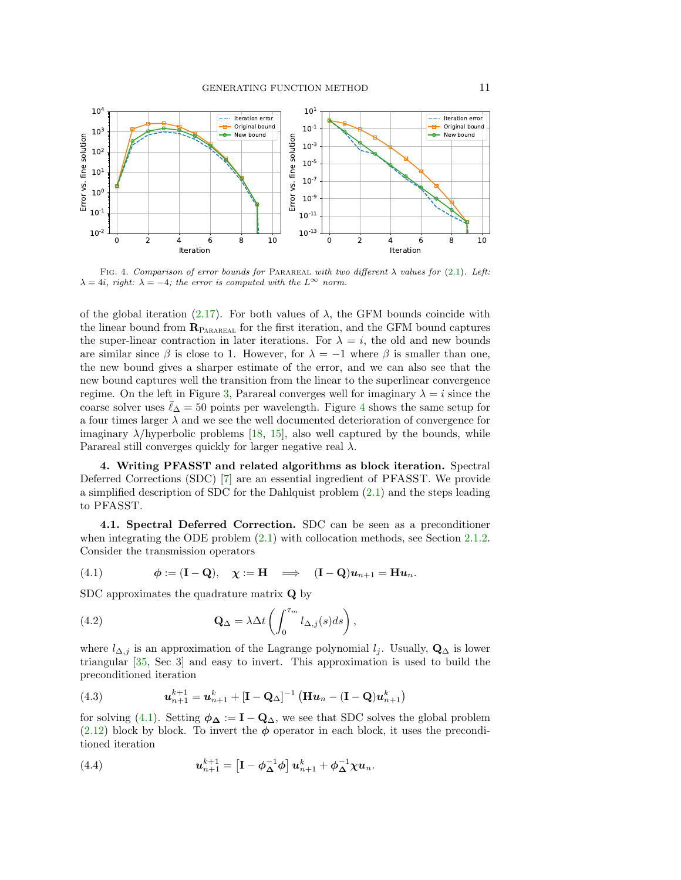<span id="page-10-1"></span>

FIG. 4. Comparison of error bounds for PARAREAL with two different  $\lambda$  values for [\(2.1\)](#page-1-0). Left:  $\lambda = 4i$ , right:  $\lambda = -4$ ; the error is computed with the  $L^{\infty}$  norm.

of the global iteration [\(2.17\)](#page-4-5). For both values of  $\lambda$ , the GFM bounds coincide with the linear bound from  $\mathbf{R}_{\text{PARABAL}}$  for the first iteration, and the GFM bound captures the super-linear contraction in later iterations. For  $\lambda = i$ , the old and new bounds are similar since  $\beta$  is close to 1. However, for  $\lambda = -1$  where  $\beta$  is smaller than one, the new bound gives a sharper estimate of the error, and we can also see that the new bound captures well the transition from the linear to the superlinear convergence regime. On the left in Figure [3,](#page-9-3) Parareal converges well for imaginary  $\lambda = i$  since the coarse solver uses  $\ell_{\Delta} = 50$  points per wavelength. Figure [4](#page-10-1) shows the same setup for a four times larger  $\lambda$  and we see the well documented deterioration of convergence for imaginary  $\lambda$ /hyperbolic problems [\[18,](#page-22-9) [15\]](#page-22-15), also well captured by the bounds, while Parareal still converges quickly for larger negative real  $\lambda$ .

<span id="page-10-0"></span>4. Writing PFASST and related algorithms as block iteration. Spectral Deferred Corrections (SDC) [\[7\]](#page-22-16) are an essential ingredient of PFASST. We provide a simplified description of SDC for the Dahlquist problem [\(2.1\)](#page-1-0) and the steps leading to PFASST.

<span id="page-10-4"></span>4.1. Spectral Deferred Correction. SDC can be seen as a preconditioner when integrating the ODE problem [\(2.1\)](#page-1-0) with collocation methods, see Section [2.1.2.](#page-2-1) Consider the transmission operators

<span id="page-10-2"></span>(4.1) 
$$
\phi := (\mathbf{I} - \mathbf{Q}), \quad \chi := \mathbf{H} \quad \Longrightarrow \quad (\mathbf{I} - \mathbf{Q})\mathbf{u}_{n+1} = \mathbf{H}\mathbf{u}_n.
$$

SDC approximates the quadrature matrix **Q** by

(4.2) 
$$
\mathbf{Q}_{\Delta} = \lambda \Delta t \left( \int_0^{\tau_m} l_{\Delta,j}(s) ds \right),
$$

where  $l_{\Delta,j}$  is an approximation of the Lagrange polynomial  $l_j$ . Usually,  $\mathbf{Q}_{\Delta}$  is lower triangular [\[35,](#page-23-18) Sec 3] and easy to invert. This approximation is used to build the preconditioned iteration

(4.3) 
$$
u_{n+1}^{k+1} = u_{n+1}^k + [\mathbf{I} - \mathbf{Q}_{\Delta}]^{-1} (\mathbf{H} \mathbf{u}_n - (\mathbf{I} - \mathbf{Q}) u_{n+1}^k)
$$

for solving [\(4.1\)](#page-10-2). Setting  $\phi_{\Delta} := I - Q_{\Delta}$ , we see that SDC solves the global problem  $(2.12)$  block by block. To invert the  $\phi$  operator in each block, it uses the preconditioned iteration

<span id="page-10-3"></span>(4.4) 
$$
\mathbf{u}_{n+1}^{k+1} = \left[\mathbf{I} - \boldsymbol{\phi}_{\boldsymbol{\Delta}}^{-1}\boldsymbol{\phi}\right]\mathbf{u}_{n+1}^{k} + \boldsymbol{\phi}_{\boldsymbol{\Delta}}^{-1}\boldsymbol{\chi}\mathbf{u}_{n}.
$$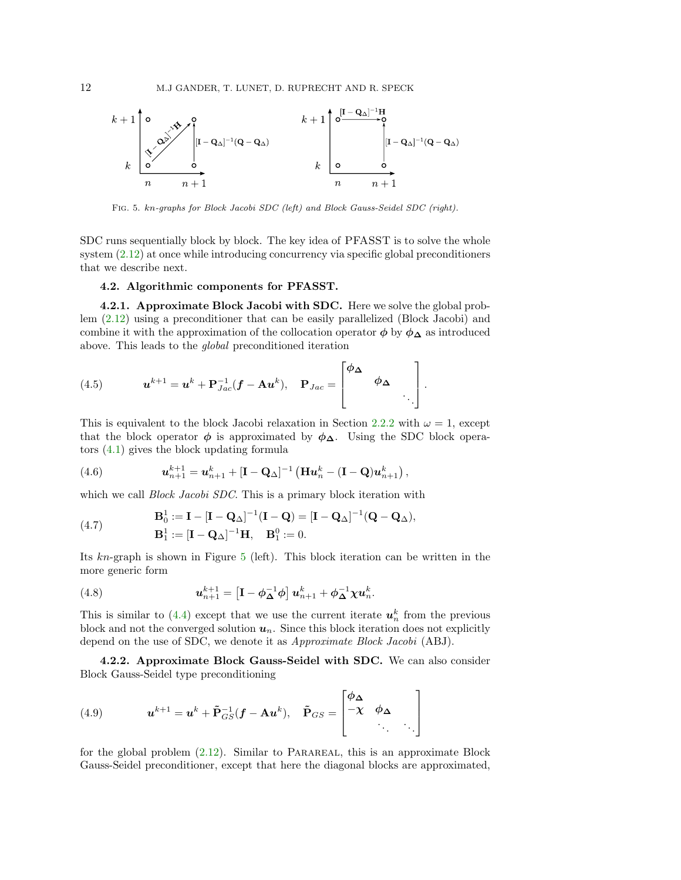<span id="page-11-0"></span>

Fig. 5. kn-graphs for Block Jacobi SDC (left) and Block Gauss-Seidel SDC (right).

SDC runs sequentially block by block. The key idea of PFASST is to solve the whole system [\(2.12\)](#page-3-1) at once while introducing concurrency via specific global preconditioners that we describe next.

#### 4.2. Algorithmic components for PFASST.

<span id="page-11-2"></span>4.2.1. Approximate Block Jacobi with SDC. Here we solve the global problem [\(2.12\)](#page-3-1) using a preconditioner that can be easily parallelized (Block Jacobi) and combine it with the approximation of the collocation operator  $\phi$  by  $\phi_{\Delta}$  as introduced above. This leads to the global preconditioned iteration

(4.5) 
$$
\mathbf{u}^{k+1} = \mathbf{u}^k + \mathbf{P}_{Jac}^{-1}(\mathbf{f} - \mathbf{A}\mathbf{u}^k), \quad \mathbf{P}_{Jac} = \begin{bmatrix} \phi_{\boldsymbol{\Delta}} & & \\ & \phi_{\boldsymbol{\Delta}} & \\ & & \ddots \end{bmatrix}.
$$

This is equivalent to the block Jacobi relaxation in Section [2.2.2](#page-4-6) with  $\omega = 1$ , except that the block operator  $\phi$  is approximated by  $\phi_{\Delta}$ . Using the SDC block operators [\(4.1\)](#page-10-2) gives the block updating formula

(4.6) 
$$
u_{n+1}^{k+1} = u_{n+1}^k + [\mathbf{I} - \mathbf{Q}_{\Delta}]^{-1} (\mathbf{H} u_n^k - (\mathbf{I} - \mathbf{Q}) u_{n+1}^k),
$$

which we call *Block Jacobi SDC*. This is a primary block iteration with

(4.7) 
$$
\mathbf{B}_0^1 := \mathbf{I} - [\mathbf{I} - \mathbf{Q}_\Delta]^{-1} (\mathbf{I} - \mathbf{Q}) = [\mathbf{I} - \mathbf{Q}_\Delta]^{-1} (\mathbf{Q} - \mathbf{Q}_\Delta),
$$

$$
\mathbf{B}_1^1 := [\mathbf{I} - \mathbf{Q}_\Delta]^{-1} \mathbf{H}, \quad \mathbf{B}_1^0 := 0.
$$

Its kn-graph is shown in Figure [5](#page-11-0) (left). This block iteration can be written in the more generic form

<span id="page-11-1"></span>(4.8) 
$$
\mathbf{u}_{n+1}^{k+1} = \left[\mathbf{I} - \boldsymbol{\phi}_{\boldsymbol{\Delta}}^{-1}\boldsymbol{\phi}\right]\mathbf{u}_{n+1}^{k} + \boldsymbol{\phi}_{\boldsymbol{\Delta}}^{-1}\boldsymbol{\chi}\mathbf{u}_{n}^{k}.
$$

This is similar to [\(4.4\)](#page-10-3) except that we use the current iterate  $u_n^k$  from the previous block and not the converged solution  $u_n$ . Since this block iteration does not explicitly depend on the use of SDC, we denote it as Approximate Block Jacobi (ABJ).

4.2.2. Approximate Block Gauss-Seidel with SDC. We can also consider Block Gauss-Seidel type preconditioning

(4.9) 
$$
\mathbf{u}^{k+1} = \mathbf{u}^k + \tilde{\mathbf{P}}_{GS}^{-1}(\mathbf{f} - \mathbf{A}\mathbf{u}^k), \quad \tilde{\mathbf{P}}_{GS} = \begin{bmatrix} \phi_{\boldsymbol{\Delta}} & & \\ -\chi & \phi_{\boldsymbol{\Delta}} & \\ & \ddots & \ddots \end{bmatrix}
$$

for the global problem  $(2.12)$ . Similar to PARAREAL, this is an approximate Block Gauss-Seidel preconditioner, except that here the diagonal blocks are approximated,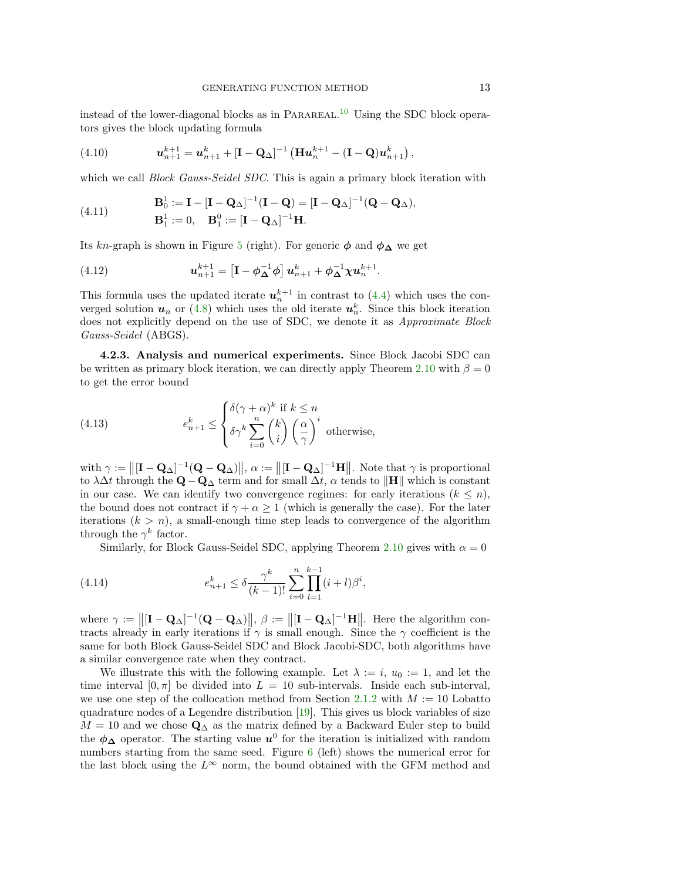instead of the lower-diagonal blocks as in PARAREAL.<sup>[10](#page-13-1)</sup> Using the SDC block operators gives the block updating formula

(4.10) 
$$
\mathbf{u}_{n+1}^{k+1} = \mathbf{u}_{n+1}^k + [\mathbf{I} - \mathbf{Q}_{\Delta}]^{-1} (\mathbf{H} \mathbf{u}_n^{k+1} - (\mathbf{I} - \mathbf{Q}) \mathbf{u}_{n+1}^k),
$$

which we call *Block Gauss-Seidel SDC*. This is again a primary block iteration with

(4.11) 
$$
\mathbf{B}_0^1 := \mathbf{I} - [\mathbf{I} - \mathbf{Q}_\Delta]^{-1} (\mathbf{I} - \mathbf{Q}) = [\mathbf{I} - \mathbf{Q}_\Delta]^{-1} (\mathbf{Q} - \mathbf{Q}_\Delta),
$$

$$
\mathbf{B}_1^1 := 0, \quad \mathbf{B}_1^0 := [\mathbf{I} - \mathbf{Q}_\Delta]^{-1} \mathbf{H}.
$$

Its kn-graph is shown in Figure [5](#page-11-0) (right). For generic  $\phi$  and  $\phi_{\Delta}$  we get

(4.12) 
$$
\mathbf{u}_{n+1}^{k+1} = \left[\mathbf{I} - \phi_{\mathbf{\Delta}}^{-1} \phi\right] \mathbf{u}_{n+1}^{k} + \phi_{\mathbf{\Delta}}^{-1} \chi \mathbf{u}_{n}^{k+1}.
$$

This formula uses the updated iterate  $u_n^{k+1}$  in contrast to [\(4.4\)](#page-10-3) which uses the converged solution  $u_n$  or [\(4.8\)](#page-11-1) which uses the old iterate  $u_n^k$ . Since this block iteration does not explicitly depend on the use of SDC, we denote it as *Approximate Block* Gauss-Seidel (ABGS).

<span id="page-12-0"></span>4.2.3. Analysis and numerical experiments. Since Block Jacobi SDC can be written as primary block iteration, we can directly apply Theorem [2.10](#page-7-0) with  $\beta = 0$ to get the error bound

(4.13) 
$$
e_{n+1}^k \leq \begin{cases} \delta(\gamma + \alpha)^k \text{ if } k \leq n \\ \delta \gamma^k \sum_{i=0}^n {k \choose i} \left(\frac{\alpha}{\gamma}\right)^i \text{ otherwise,} \end{cases}
$$

with  $\gamma := ||[\mathbf{I} - \mathbf{Q}_{\Delta}]^{-1}(\mathbf{Q} - \mathbf{Q}_{\Delta})||$ ,  $\alpha := ||[\mathbf{I} - \mathbf{Q}_{\Delta}]^{-1}\mathbf{H}||$ . Note that  $\gamma$  is proportional to  $\lambda \Delta t$  through the  $\mathbf{Q} - \mathbf{Q}_{\Delta}$  term and for small  $\Delta t$ ,  $\alpha$  tends to  $\|\mathbf{H}\|$  which is constant in our case. We can identify two convergence regimes: for early iterations  $(k \leq n)$ , the bound does not contract if  $\gamma + \alpha \geq 1$  (which is generally the case). For the later iterations  $(k > n)$ , a small-enough time step leads to convergence of the algorithm through the  $\gamma^k$  factor.

Similarly, for Block Gauss-Seidel SDC, applying Theorem [2.10](#page-7-0) gives with  $\alpha = 0$ 

(4.14) 
$$
e_{n+1}^k \leq \delta \frac{\gamma^k}{(k-1)!} \sum_{i=0}^n \prod_{l=1}^{k-1} (i+l) \beta^i,
$$

where  $\gamma := \left\| [\mathbf{I} - \mathbf{Q}_{\Delta}]^{-1} (\mathbf{Q} - \mathbf{Q}_{\Delta}) \right\|, \ \beta := \left\| [\mathbf{I} - \mathbf{Q}_{\Delta}]^{-1} \mathbf{H} \right\|.$  Here the algorithm contracts already in early iterations if  $\gamma$  is small enough. Since the  $\gamma$  coefficient is the same for both Block Gauss-Seidel SDC and Block Jacobi-SDC, both algorithms have a similar convergence rate when they contract.

We illustrate this with the following example. Let  $\lambda := i, u_0 := 1$ , and let the time interval  $[0, \pi]$  be divided into  $L = 10$  sub-intervals. Inside each sub-interval, we use one step of the collocation method from Section [2.1.2](#page-2-1) with  $M := 10$  Lobatto quadrature nodes of a Legendre distribution  $[19]$ . This gives us block variables of size  $M = 10$  and we chose  $\mathbf{Q}_{\Delta}$  as the matrix defined by a Backward Euler step to build the  $\phi_{\Delta}$  operator. The starting value  $u^0$  for the iteration is initialized with random numbers starting from the same seed. Figure [6](#page-13-2) (left) shows the numerical error for the last block using the  $L^{\infty}$  norm, the bound obtained with the GFM method and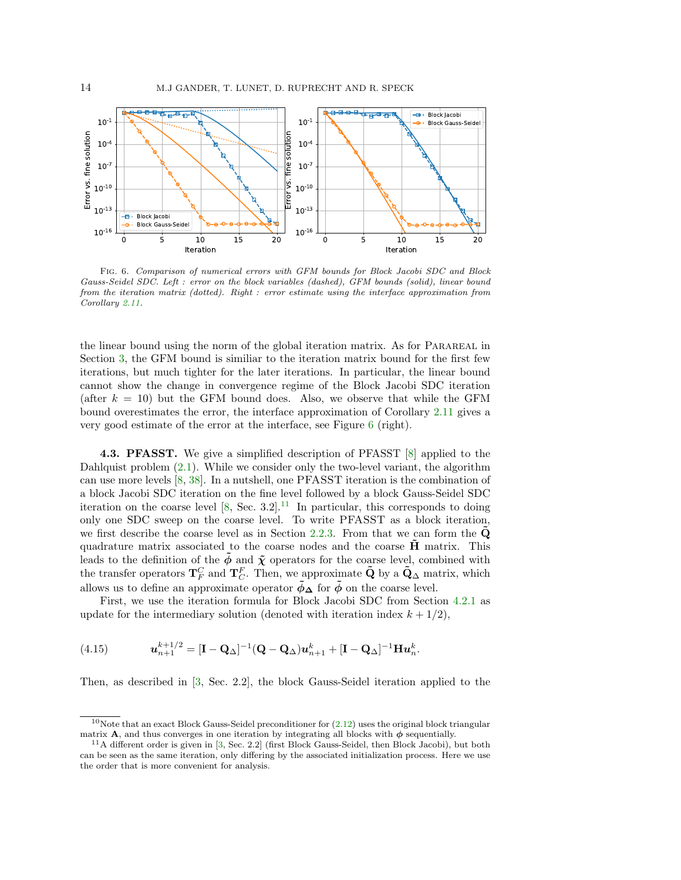<span id="page-13-2"></span>

Fig. 6. Comparison of numerical errors with GFM bounds for Block Jacobi SDC and Block Gauss-Seidel SDC. Left : error on the block variables (dashed), GFM bounds (solid), linear bound from the iteration matrix (dotted). Right : error estimate using the interface approximation from Corollary [2.11.](#page-8-2)

the linear bound using the norm of the global iteration matrix. As for PARAREAL in Section [3,](#page-9-4) the GFM bound is similiar to the iteration matrix bound for the first few iterations, but much tighter for the later iterations. In particular, the linear bound cannot show the change in convergence regime of the Block Jacobi SDC iteration (after  $k = 10$ ) but the GFM bound does. Also, we observe that while the GFM bound overestimates the error, the interface approximation of Corollary [2.11](#page-8-2) gives a very good estimate of the error at the interface, see Figure [6](#page-13-2) (right).

<span id="page-13-0"></span>**4.3. PFASST.** We give a simplified description of PFASST [\[8\]](#page-22-1) applied to the Dahlquist problem  $(2.1)$ . While we consider only the two-level variant, the algorithm can use more levels [\[8,](#page-22-1) [38\]](#page-23-7). In a nutshell, one PFASST iteration is the combination of a block Jacobi SDC iteration on the fine level followed by a block Gauss-Seidel SDC iteration on the coarse level  $[8, \text{ Sec. } 3.2]$  $[8, \text{ Sec. } 3.2]$ .<sup>[11](#page-13-3)</sup> In particular, this corresponds to doing only one SDC sweep on the coarse level. To write PFASST as a block iteration, we first describe the coarse level as in Section [2.2.3.](#page-4-0) From that we can form the  $\dot{Q}$ quadrature matrix associated to the coarse nodes and the coarse  $\hat{H}$  matrix. This leads to the definition of the  $\tilde{\phi}$  and  $\tilde{\chi}$  operators for the coarse level, combined with the transfer operators  $T_F^C$  and  $T_C^F$ . Then, we approximate  $\tilde{Q}$  by a  $\tilde{Q}_{\Delta}$  matrix, which allows us to define an approximate operator  $\tilde{\phi}_{\Delta}$  for  $\tilde{\phi}$  on the coarse level.

First, we use the iteration formula for Block Jacobi SDC from Section [4.2.1](#page-11-2) as update for the intermediary solution (denoted with iteration index  $k + 1/2$ ),

(4.15) 
$$
\mathbf{u}_{n+1}^{k+1/2} = [\mathbf{I} - \mathbf{Q}_{\Delta}]^{-1} (\mathbf{Q} - \mathbf{Q}_{\Delta}) \mathbf{u}_{n+1}^{k} + [\mathbf{I} - \mathbf{Q}_{\Delta}]^{-1} \mathbf{H} \mathbf{u}_{n}^{k}.
$$

Then, as described in [\[3,](#page-22-12) Sec. 2.2], the block Gauss-Seidel iteration applied to the

<span id="page-13-1"></span><sup>&</sup>lt;sup>10</sup>Note that an exact Block Gauss-Seidel preconditioner for  $(2.12)$  uses the original block triangular matrix **A**, and thus converges in one iteration by integrating all blocks with  $\phi$  sequentially.

<span id="page-13-3"></span><sup>11</sup>A different order is given in [\[3,](#page-22-12) Sec. 2.2] (first Block Gauss-Seidel, then Block Jacobi), but both can be seen as the same iteration, only differing by the associated initialization process. Here we use the order that is more convenient for analysis.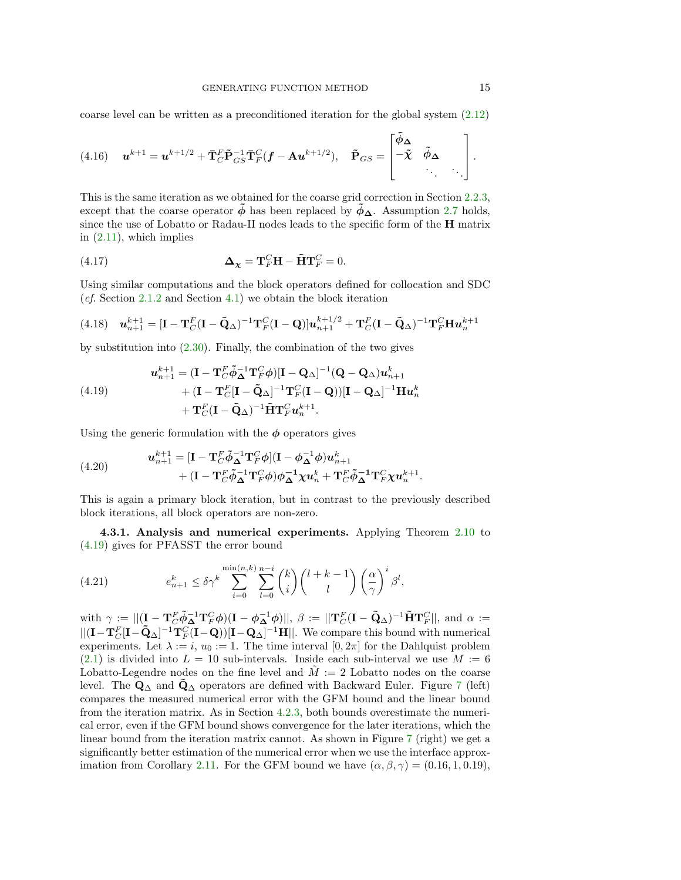coarse level can be written as a preconditioned iteration for the global system [\(2.12\)](#page-3-1)

(4.16) 
$$
\mathbf{u}^{k+1} = \mathbf{u}^{k+1/2} + \mathbf{\bar{T}}_C^F \mathbf{\tilde{P}}_{GS}^{-1} \mathbf{\bar{T}}_F^C (\mathbf{f} - \mathbf{A} \mathbf{u}^{k+1/2}), \quad \mathbf{\tilde{P}}_{GS} = \begin{bmatrix} \tilde{\phi}_{\mathbf{\Delta}} & & \\ -\tilde{\mathbf{\chi}} & \tilde{\phi}_{\mathbf{\Delta}} & \\ & \ddots & \ddots \end{bmatrix}.
$$

This is the same iteration as we obtained for the coarse grid correction in Section [2.2.3,](#page-4-0) except that the coarse operator  $\phi$  has been replaced by  $\dot{\phi}_\Delta$ . Assumption [2.7](#page-6-3) holds, since the use of Lobatto or Radau-II nodes leads to the specific form of the H matrix in  $(2.11)$ , which implies

(4.17) 
$$
\Delta_{\chi} = \mathbf{T}_F^C \mathbf{H} - \tilde{\mathbf{H}} \mathbf{T}_F^C = 0.
$$

Using similar computations and the block operators defined for collocation and SDC (*cf.* Section  $2.1.2$  and Section  $4.1$ ) we obtain the block iteration

$$
(4.18) \quad \mathbf{u}_{n+1}^{k+1} = [\mathbf{I} - \mathbf{T}_C^F(\mathbf{I} - \tilde{\mathbf{Q}}_{\Delta})^{-1} \mathbf{T}_F^C(\mathbf{I} - \mathbf{Q})] \mathbf{u}_{n+1}^{k+1/2} + \mathbf{T}_C^F(\mathbf{I} - \tilde{\mathbf{Q}}_{\Delta})^{-1} \mathbf{T}_F^C \mathbf{H} \mathbf{u}_n^{k+1}
$$

by substitution into  $(2.30)$ . Finally, the combination of the two gives

<span id="page-14-0"></span>(4.19) 
$$
\mathbf{u}_{n+1}^{k+1} = (\mathbf{I} - \mathbf{T}_C^F \tilde{\boldsymbol{\phi}}_\Delta^{-1} \mathbf{T}_F^C \boldsymbol{\phi}) [\mathbf{I} - \mathbf{Q}_\Delta]^{-1} (\mathbf{Q} - \mathbf{Q}_\Delta) \mathbf{u}_{n+1}^k + (\mathbf{I} - \mathbf{T}_C^F [\mathbf{I} - \tilde{\mathbf{Q}}_\Delta]^{-1} \mathbf{T}_F^C (\mathbf{I} - \mathbf{Q})) [\mathbf{I} - \mathbf{Q}_\Delta]^{-1} \mathbf{H} \mathbf{u}_n^k + \mathbf{T}_C^F (\mathbf{I} - \tilde{\mathbf{Q}}_\Delta)^{-1} \tilde{\mathbf{H}} \mathbf{T}_F^C \mathbf{u}_n^{k+1}.
$$

Using the generic formulation with the  $\phi$  operators gives

(4.20) 
$$
\mathbf{u}_{n+1}^{k+1} = [\mathbf{I} - \mathbf{T}_C^F \tilde{\phi}_{\Delta}^{-1} \mathbf{T}_F^C \phi] (\mathbf{I} - \phi_{\Delta}^{-1} \phi) \mathbf{u}_{n+1}^k + (\mathbf{I} - \mathbf{T}_C^F \tilde{\phi}_{\Delta}^{-1} \mathbf{T}_F^C \phi) \phi_{\Delta}^{-1} \mathbf{\chi} \mathbf{u}_n^k + \mathbf{T}_C^F \tilde{\phi}_{\Delta}^{-1} \mathbf{T}_F^C \mathbf{\chi} \mathbf{u}_n^{k+1}.
$$

This is again a primary block iteration, but in contrast to the previously described block iterations, all block operators are non-zero.

<span id="page-14-1"></span>4.3.1. Analysis and numerical experiments. Applying Theorem [2.10](#page-7-0) to [\(4.19\)](#page-14-0) gives for PFASST the error bound

(4.21) 
$$
e_{n+1}^k \leq \delta \gamma^k \sum_{i=0}^{\min(n,k)} \sum_{l=0}^{n-i} {k \choose i} {l+k-1 \choose l} \left(\frac{\alpha}{\gamma}\right)^i \beta^l,
$$

with  $\gamma := ||(\mathbf{I} - \mathbf{T}_C^F \tilde{\boldsymbol{\phi}}_{\mathbf{\Delta}}^{-1} \mathbf{T}_F^C \boldsymbol{\phi}) (\mathbf{I} - \boldsymbol{\phi}_{\mathbf{\Delta}}^{-1} \boldsymbol{\phi})||, \ \beta := ||\mathbf{T}_C^F (\mathbf{I} - \tilde{\mathbf{Q}}_{\mathbf{\Delta}})^{-1} \tilde{\mathbf{H}} \mathbf{T}_F^C||, \text{ and } \alpha :=$  $||(\mathbf{I}-\mathbf{T}_C^F[\mathbf{I}-\tilde{\mathbf{Q}}_{{\Delta}}]^{-1}\mathbf{T}_F^C(\mathbf{I}-\mathbf{Q}))[\mathbf{I}-\mathbf{Q}_{{\Delta}}]^{-1}\mathbf{H}||.$  We compare this bound with numerical experiments. Let  $\lambda := i, u_0 := 1$ . The time interval  $[0, 2\pi]$  for the Dahlquist problem  $(2.1)$  is divided into  $L = 10$  sub-intervals. Inside each sub-interval we use  $M := 6$ Lobatto-Legendre nodes on the fine level and  $\tilde{M} := 2$  Lobatto nodes on the coarse level. The  $\mathbf{Q}_{\Delta}$  and  $\mathbf{Q}_{\Delta}$  operators are defined with Backward Euler. Figure [7](#page-15-1) (left) compares the measured numerical error with the GFM bound and the linear bound from the iteration matrix. As in Section [4.2.3,](#page-12-0) both bounds overestimate the numerical error, even if the GFM bound shows convergence for the later iterations, which the linear bound from the iteration matrix cannot. As shown in Figure [7](#page-15-1) (right) we get a significantly better estimation of the numerical error when we use the interface approx-imation from Corollary [2.11.](#page-8-2) For the GFM bound we have  $(\alpha, \beta, \gamma) = (0.16, 1, 0.19)$ ,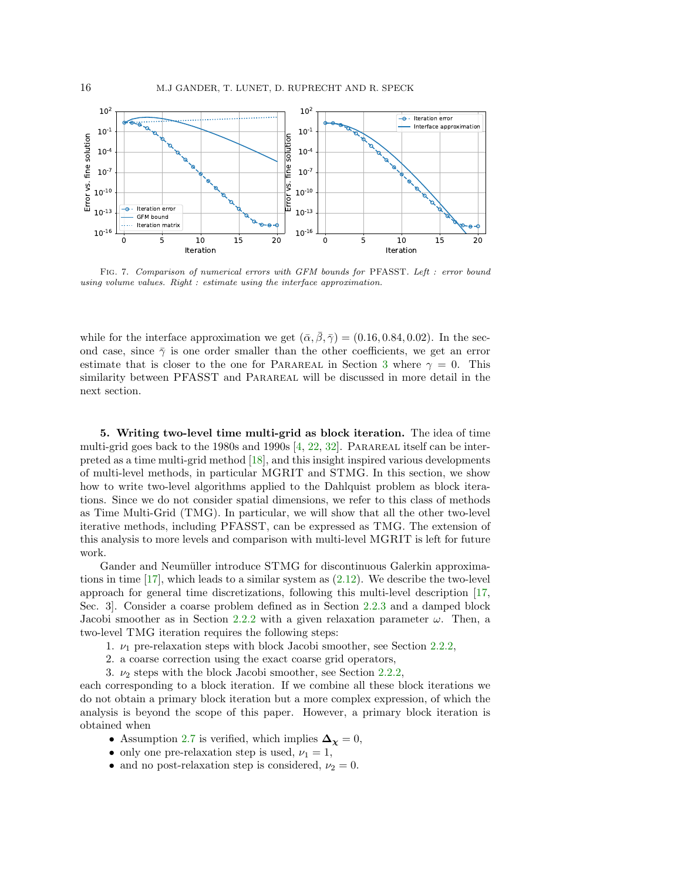<span id="page-15-1"></span>

Fig. 7. Comparison of numerical errors with GFM bounds for PFASST. Left : error bound using volume values. Right : estimate using the interface approximation.

while for the interface approximation we get  $(\bar{\alpha}, \bar{\beta}, \bar{\gamma}) = (0.16, 0.84, 0.02)$ . In the second case, since  $\bar{\gamma}$  is one order smaller than the other coefficients, we get an error estimate that is closer to the one for PARAREAL in Section [3](#page-9-4) where  $\gamma = 0$ . This similarity between PFASST and PARAREAL will be discussed in more detail in the next section.

<span id="page-15-0"></span>5. Writing two-level time multi-grid as block iteration. The idea of time multi-grid goes back to the 1980s and 1990s  $[4, 22, 32]$  $[4, 22, 32]$  $[4, 22, 32]$  $[4, 22, 32]$  $[4, 22, 32]$ . PARAREAL itself can be interpreted as a time multi-grid method [\[18\]](#page-22-9), and this insight inspired various developments of multi-level methods, in particular MGRIT and STMG. In this section, we show how to write two-level algorithms applied to the Dahlquist problem as block iterations. Since we do not consider spatial dimensions, we refer to this class of methods as Time Multi-Grid (TMG). In particular, we will show that all the other two-level iterative methods, including PFASST, can be expressed as TMG. The extension of this analysis to more levels and comparison with multi-level MGRIT is left for future work.

Gander and Neumüller introduce STMG for discontinuous Galerkin approximations in time  $[17]$ , which leads to a similar system as  $(2.12)$ . We describe the two-level approach for general time discretizations, following this multi-level description [\[17,](#page-22-3) Sec. 3]. Consider a coarse problem defined as in Section [2.2.3](#page-4-0) and a damped block Jacobi smoother as in Section [2.2.2](#page-4-6) with a given relaxation parameter  $\omega$ . Then, a two-level TMG iteration requires the following steps:

- 1.  $\nu_1$  pre-relaxation steps with block Jacobi smoother, see Section [2.2.2,](#page-4-6)
- 2. a coarse correction using the exact coarse grid operators,
- 3.  $\nu_2$  steps with the block Jacobi smoother, see Section [2.2.2,](#page-4-6)

each corresponding to a block iteration. If we combine all these block iterations we do not obtain a primary block iteration but a more complex expression, of which the analysis is beyond the scope of this paper. However, a primary block iteration is obtained when

- Assumption [2.7](#page-6-3) is verified, which implies  $\Delta_{\chi} = 0$ ,
- only one pre-relaxation step is used,  $\nu_1 = 1$ ,
- and no post-relaxation step is considered,  $\nu_2 = 0$ .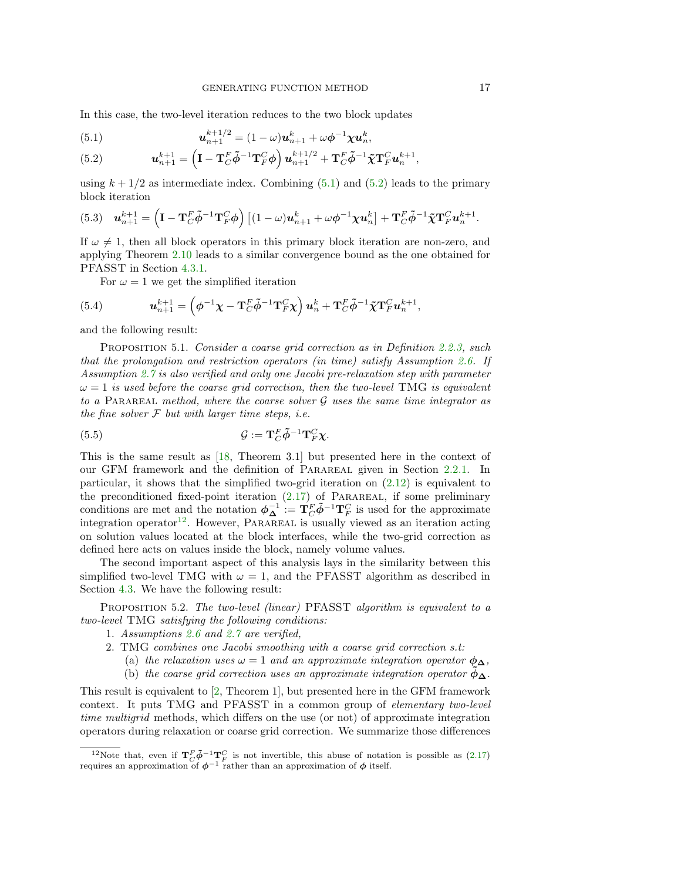In this case, the two-level iteration reduces to the two block updates

<span id="page-16-0"></span>(5.1) 
$$
\mathbf{u}_{n+1}^{k+1/2} = (1-\omega)\mathbf{u}_{n+1}^k + \omega \phi^{-1} \chi \mathbf{u}_n^k,
$$

<span id="page-16-1"></span>(5.2) 
$$
\mathbf{u}_{n+1}^{k+1} = \left(\mathbf{I} - \mathbf{T}_C^F \tilde{\boldsymbol{\phi}}^{-1} \mathbf{T}_F^C \boldsymbol{\phi}\right) \mathbf{u}_{n+1}^{k+1/2} + \mathbf{T}_C^F \tilde{\boldsymbol{\phi}}^{-1} \tilde{\boldsymbol{\chi}} \mathbf{T}_F^C \mathbf{u}_n^{k+1},
$$

using  $k + 1/2$  as intermediate index. Combining [\(5.1\)](#page-16-0) and [\(5.2\)](#page-16-1) leads to the primary block iteration

(5.3) 
$$
\mathbf{u}_{n+1}^{k+1} = \left(\mathbf{I} - \mathbf{T}_C^F \tilde{\boldsymbol{\phi}}^{-1} \mathbf{T}_F^C \boldsymbol{\phi}\right) \left[(1-\omega)\mathbf{u}_{n+1}^k + \omega \boldsymbol{\phi}^{-1} \boldsymbol{\chi} \mathbf{u}_n^k\right] + \mathbf{T}_C^F \tilde{\boldsymbol{\phi}}^{-1} \tilde{\boldsymbol{\chi}} \mathbf{T}_F^C \mathbf{u}_n^{k+1}.
$$

If  $\omega \neq 1$ , then all block operators in this primary block iteration are non-zero, and applying Theorem [2.10](#page-7-0) leads to a similar convergence bound as the one obtained for PFASST in Section [4.3.1.](#page-14-1)

For  $\omega = 1$  we get the simplified iteration

(5.4) 
$$
\mathbf{u}_{n+1}^{k+1} = \left(\boldsymbol{\phi}^{-1}\boldsymbol{\chi} - \mathbf{T}_C^F\tilde{\boldsymbol{\phi}}^{-1}\mathbf{T}_F^C\boldsymbol{\chi}\right)\mathbf{u}_n^k + \mathbf{T}_C^F\tilde{\boldsymbol{\phi}}^{-1}\tilde{\boldsymbol{\chi}}\mathbf{T}_F^C\mathbf{u}_n^{k+1},
$$

and the following result:

PROPOSITION 5.1. Consider a coarse grid correction as in Definition [2.2.3,](#page-4-0) such that the prolongation and restriction operators (in time) satisfy Assumption [2.6.](#page-5-5) If Assumption [2.7](#page-6-3) is also verified and only one Jacobi pre-relaxation step with parameter  $\omega = 1$  is used before the coarse grid correction, then the two-level TMG is equivalent to a PARAREAL method, where the coarse solver  $\mathcal G$  uses the same time integrator as the fine solver  $F$  but with larger time steps, i.e.

(5.5) 
$$
\mathcal{G} := \mathbf{T}_{C}^{F} \tilde{\boldsymbol{\phi}}^{-1} \mathbf{T}_{F}^{C} \boldsymbol{\chi}.
$$

This is the same result as [\[18,](#page-22-9) Theorem 3.1] but presented here in the context of our GFM framework and the definition of Parareal given in Section [2.2.1.](#page-4-4) In particular, it shows that the simplified two-grid iteration on [\(2.12\)](#page-3-1) is equivalent to the preconditioned fixed-point iteration  $(2.17)$  of PARAREAL, if some preliminary conditions are met and the notation  $\phi_{\mathbf{\Delta}}^{-1} := \mathbf{T}_C^F \tilde{\phi}^{-1} \mathbf{T}_F^C$  is used for the approximate integration operator<sup>[12](#page-16-2)</sup>. However, PARAREAL is usually viewed as an iteration acting on solution values located at the block interfaces, while the two-grid correction as defined here acts on values inside the block, namely volume values.

The second important aspect of this analysis lays in the similarity between this simplified two-level TMG with  $\omega = 1$ , and the PFASST algorithm as described in Section [4.3.](#page-13-0) We have the following result:

PROPOSITION 5.2. The two-level (linear) PFASST algorithm is equivalent to a two-level TMG satisfying the following conditions:

- 1. Assumptions [2.6](#page-5-5) and [2.7](#page-6-3) are verified,
- 2. TMG combines one Jacobi smoothing with a coarse grid correction s.t:
	- (a) the relaxation uses  $\omega = 1$  and an approximate integration operator  $\phi_{\Delta}$ ,
	- (b) the coarse grid correction uses an approximate integration operator  $\phi_{\Delta}$ .

This result is equivalent to [\[2,](#page-22-11) Theorem 1], but presented here in the GFM framework context. It puts TMG and PFASST in a common group of elementary two-level time multigrid methods, which differs on the use (or not) of approximate integration operators during relaxation or coarse grid correction. We summarize those differences

<span id="page-16-2"></span><sup>&</sup>lt;sup>12</sup>Note that, even if  $T_C^F \tilde{\phi}^{-1} T_F^C$  is not invertible, this abuse of notation is possible as [\(2.17\)](#page-4-5) requires an approximation of  $\phi^{-1}$  rather than an approximation of  $\phi$  itself.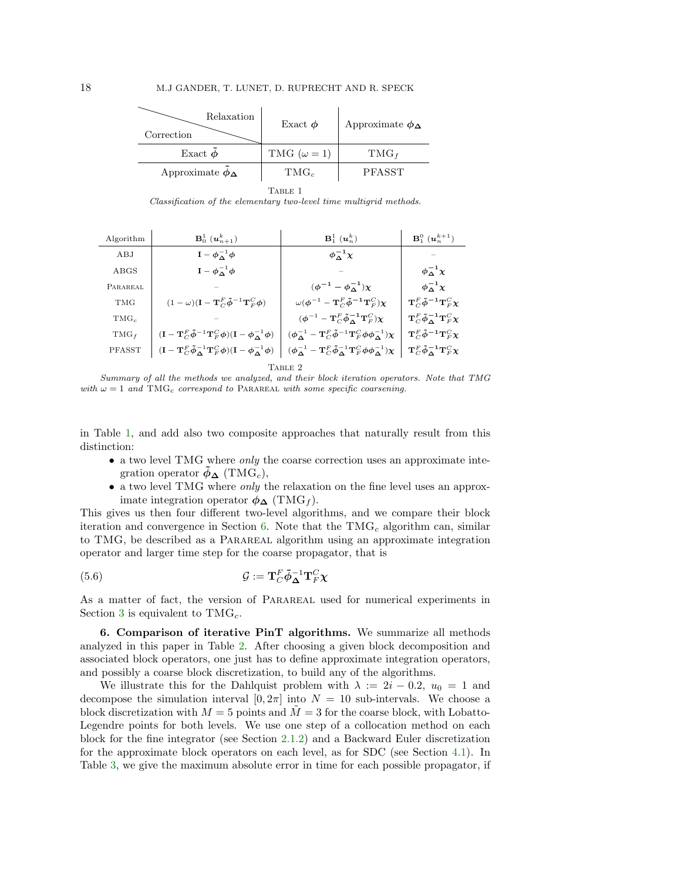<span id="page-17-0"></span>

| Relaxation<br>Correction    | Exact $\phi$         | Approximate $\phi_{\Delta}$ |  |  |  |
|-----------------------------|----------------------|-----------------------------|--|--|--|
| Exact $\phi$                | TMG ( $\omega = 1$ ) | $TMG_f$                     |  |  |  |
| Approximate $\phi_{\Delta}$ | $TMG_c$              | PFASST                      |  |  |  |
| TABLE 1                     |                      |                             |  |  |  |

Classification of the elementary two-level time multigrid methods.

<span id="page-17-2"></span>

| Algorithm       | ${\bf B}_0^1\;({\bm u}_{n+1}^k)$                                                                                                                                              | $\mathbf{B}_1^1$ $(\mathbf{u}_n^k)$                                                                                                                                | ${\bf B}_1^0$ $({\bf u}_n^{k+1})$                                                          |  |  |
|-----------------|-------------------------------------------------------------------------------------------------------------------------------------------------------------------------------|--------------------------------------------------------------------------------------------------------------------------------------------------------------------|--------------------------------------------------------------------------------------------|--|--|
| ABJ             | $I - \phi_{\Lambda}^{-1} \phi$                                                                                                                                                | $\phi_\Lambda^{-1} \chi$                                                                                                                                           |                                                                                            |  |  |
| ABGS            | $\mathbf{I} - \boldsymbol{\phi}_{\boldsymbol{\Delta}}^{-1} \boldsymbol{\phi}$                                                                                                 |                                                                                                                                                                    | $\phi_{\Delta}^{-1}\chi$                                                                   |  |  |
| <b>PARAREAL</b> |                                                                                                                                                                               | $(\phi^{-1} - \phi^{-1})\chi$                                                                                                                                      | $\phi_\Lambda^{-1}\chi$                                                                    |  |  |
| <b>TMG</b>      | $(1 - \omega)(\mathbf{I} - \mathbf{T}_{C}^{F} \tilde{\boldsymbol{\phi}}^{-1} \mathbf{T}_{F}^{C} \boldsymbol{\phi})$                                                           | $\omega(\boldsymbol{\phi}^{-1}-\mathbf{T}_{C}^{F}\tilde{\boldsymbol{\phi}}^{-1}\mathbf{T}_{F}^{C})\boldsymbol{\chi}$                                               | $\mathbf{T}_{C}^{F}\tilde{\boldsymbol{\phi}}^{-1}\mathbf{T}_{F}^{C}\boldsymbol{\chi}$      |  |  |
| $TMG_c$         |                                                                                                                                                                               | $(\boldsymbol{\phi}^{-1}-\mathbf{T}_{C}^{F}\boldsymbol{\tilde{\phi}}_{\boldsymbol{\Delta}}^{-1}\mathbf{T}_{F}^{C})\boldsymbol{\chi}$                               | $\mathbf{T}_{C}^{F}\tilde{\phi}_{\mathbf{\Delta}}^{-1}\mathbf{T}_{F}^{C}\boldsymbol{\chi}$ |  |  |
| $TMG_f$         | $(\mathbf{I}-\mathbf{T}_{C}^{F}\tilde{\boldsymbol{\phi}}^{-1}\mathbf{T}_{F}^{C}\boldsymbol{\phi})(\mathbf{I}-\boldsymbol{\phi}_{\boldsymbol{\Lambda}}^{-1}\boldsymbol{\phi})$ | $(\phi_{\mathbf{\Lambda}}^{-1}-\mathbf{T}_{C}^{F}\tilde{\phi}^{-1}\mathbf{T}_{F}^{C}\phi\phi_{\mathbf{\Lambda}}^{-1})\chi$                                         | $\mathbf{T}_{C}^{F}\tilde{\phi}^{-1}\mathbf{T}_{F}^{C}\boldsymbol{\chi}$                   |  |  |
| PFASST          | $(\mathbf{I}-\mathbf{T}_C^F\tilde{\boldsymbol{\phi}}_\Delta^{-1}\mathbf{T}_F^C\boldsymbol{\phi})(\mathbf{I}-\boldsymbol{\phi}_\Delta^{-1}\boldsymbol{\phi})$                  | $(\phi_{\boldsymbol{\Delta}}^{-1} - \mathbf{T}_C^F \tilde{\phi}_{\boldsymbol{\Delta}}^{-1} \mathbf{T}_F^C \phi \phi_{\boldsymbol{\Delta}}^{-1}) \boldsymbol{\chi}$ | $\mathbf{T}_{C}^{F}\tilde{\phi}_{\mathbf{\Delta}}^{-1}\mathbf{T}_{F}^{C}\boldsymbol{\chi}$ |  |  |
| TABLE 2         |                                                                                                                                                                               |                                                                                                                                                                    |                                                                                            |  |  |

Summary of all the methods we analyzed, and their block iteration operators. Note that TMG with  $\omega = 1$  and TMG<sub>c</sub> correspond to PARAREAL with some specific coarsening.

in Table [1,](#page-17-0) and add also two composite approaches that naturally result from this distinction:

- a two level TMG where *only* the coarse correction uses an approximate integration operator  $\phi_{\mathbf{\Delta}}$  (TMG<sub>c</sub>),
- a two level TMG where *only* the relaxation on the fine level uses an approximate integration operator  $\phi_{\mathbf{\Delta}}$  (TMG<sub>f</sub>).

This gives us then four different two-level algorithms, and we compare their block iteration and convergence in Section [6.](#page-17-1) Note that the  $\text{TMG}_c$  algorithm can, similar to TMG, be described as a Parareal algorithm using an approximate integration operator and larger time step for the coarse propagator, that is

(5.6) 
$$
\mathcal{G} := \mathbf{T}_{C}^{F} \tilde{\boldsymbol{\phi}}_{\mathbf{\Delta}}^{-1} \mathbf{T}_{F}^{C} \boldsymbol{\chi}
$$

As a matter of fact, the version of Parareal used for numerical experiments in Section [3](#page-9-4) is equivalent to  $TMG_c$ .

<span id="page-17-1"></span>6. Comparison of iterative PinT algorithms. We summarize all methods analyzed in this paper in Table [2.](#page-17-2) After choosing a given block decomposition and associated block operators, one just has to define approximate integration operators, and possibly a coarse block discretization, to build any of the algorithms.

We illustrate this for the Dahlquist problem with  $\lambda := 2i - 0.2$ ,  $u_0 = 1$  and decompose the simulation interval  $[0, 2\pi]$  into  $N = 10$  sub-intervals. We choose a block discretization with  $M = 5$  points and  $M = 3$  for the coarse block, with Lobatto-Legendre points for both levels. We use one step of a collocation method on each block for the fine integrator (see Section [2.1.2\)](#page-2-1) and a Backward Euler discretization for the approximate block operators on each level, as for SDC (see Section [4.1\)](#page-10-4). In Table [3,](#page-18-0) we give the maximum absolute error in time for each possible propagator, if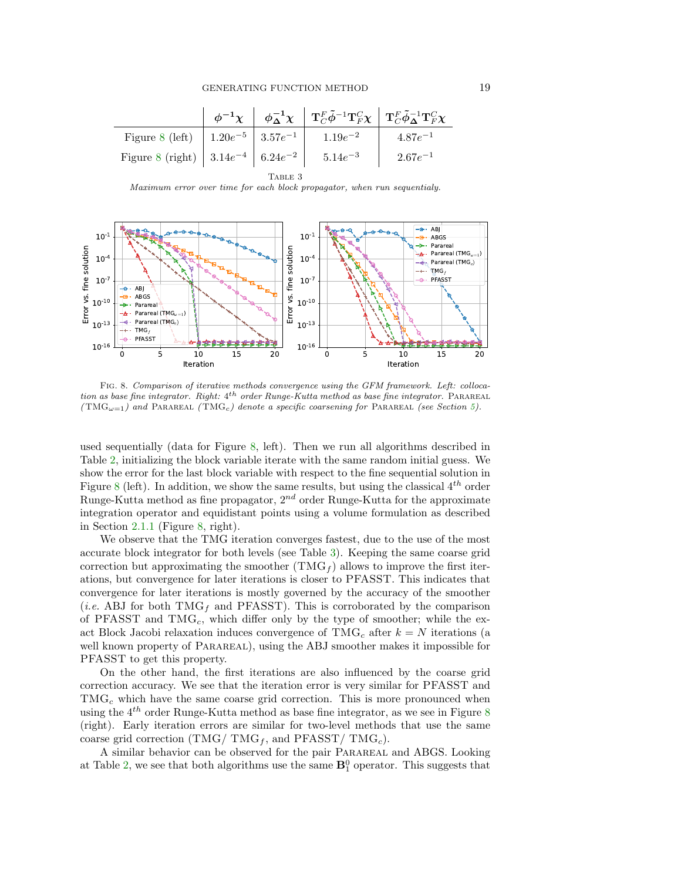<span id="page-18-0"></span>

|                                                                      |  |  | $\begin{array}{c c c c} \phi^{-1}\chi & \phi^{-1}_\Delta\chi & T^F_C\tilde\phi^{-1}T^C_F\chi & T^F_C\tilde\phi^{-1}_\Delta T^C_F\chi \end{array}$ |              |  |  |
|----------------------------------------------------------------------|--|--|---------------------------------------------------------------------------------------------------------------------------------------------------|--------------|--|--|
| Figure 8 (left) $\Big  1.20e^{-5} \Big  3.57e^{-1} \Big  1.19e^{-2}$ |  |  |                                                                                                                                                   | $4.87e^{-1}$ |  |  |
| Figure 8 (right) $ 3.14e^{-4} 6.24e^{-2} 5.14e^{-3}$                 |  |  |                                                                                                                                                   | $2.67e^{-1}$ |  |  |
| TARLE 3                                                              |  |  |                                                                                                                                                   |              |  |  |

Maximum error over time for each block propagator, when run sequentialy.

<span id="page-18-1"></span>

Fig. 8. Comparison of iterative methods convergence using the GFM framework. Left: collocation as base fine integrator. Right:  $4^{th}$  order Runge-Kutta method as base fine integrator. PARAREAL ( $\text{TMG}_{\omega=1}$ ) and PARAREAL ( $\text{TMG}_{c}$ ) denote a specific coarsening for PARAREAL (see Section [5\)](#page-15-0).

used sequentially (data for Figure [8,](#page-18-1) left). Then we run all algorithms described in Table [2,](#page-17-2) initializing the block variable iterate with the same random initial guess. We show the error for the last block variable with respect to the fine sequential solution in Figure [8](#page-18-1) (left). In addition, we show the same results, but using the classical  $4^{th}$  order Runge-Kutta method as fine propagator,  $2^{nd}$  order Runge-Kutta for the approximate integration operator and equidistant points using a volume formulation as described in Section [2.1.1](#page-2-0) (Figure [8,](#page-18-1) right).

We observe that the TMG iteration converges fastest, due to the use of the most accurate block integrator for both levels (see Table [3\)](#page-18-0). Keeping the same coarse grid correction but approximating the smoother  $(\text{TMG}_f)$  allows to improve the first iterations, but convergence for later iterations is closer to PFASST. This indicates that convergence for later iterations is mostly governed by the accuracy of the smoother (*i.e.* ABJ for both TMG<sub>f</sub> and PFASST). This is corroborated by the comparison of PFASST and  $TMG_c$ , which differ only by the type of smoother; while the exact Block Jacobi relaxation induces convergence of TMG<sub>c</sub> after  $k = N$  iterations (a well known property of PARAREAL), using the ABJ smoother makes it impossible for PFASST to get this property.

On the other hand, the first iterations are also influenced by the coarse grid correction accuracy. We see that the iteration error is very similar for PFASST and  $TMG_c$  which have the same coarse grid correction. This is more pronounced when using the  $4^{th}$  order Runge-Kutta method as base fine integrator, as we see in Figure [8](#page-18-1) (right). Early iteration errors are similar for two-level methods that use the same coarse grid correction (TMG/  $TMG_f$ , and PFASST/  $TMG_c$ ).

A similar behavior can be observed for the pair Parareal and ABGS. Looking at Table [2,](#page-17-2) we see that both algorithms use the same  $\mathbf{B}_1^0$  operator. This suggests that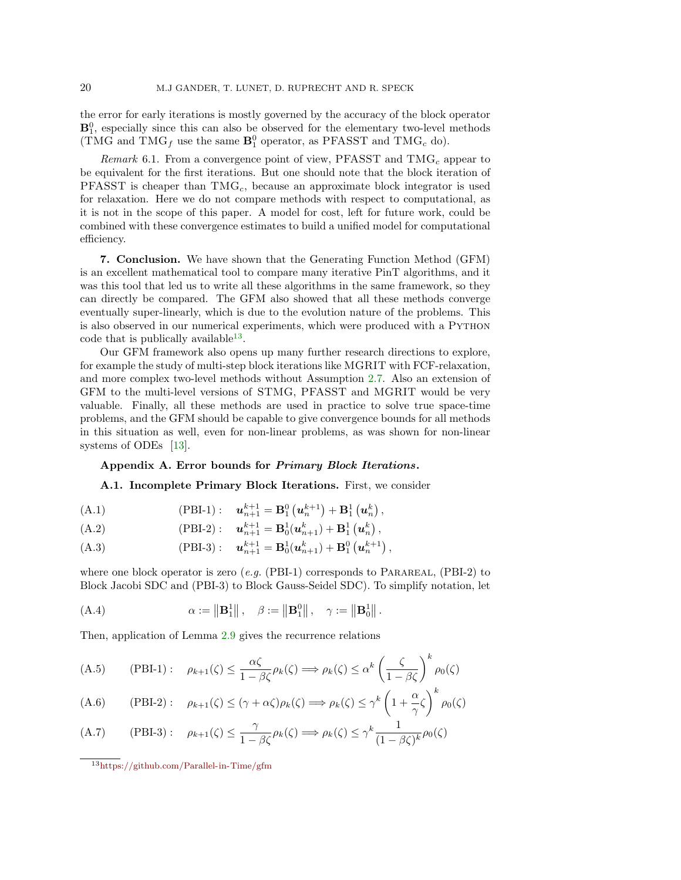the error for early iterations is mostly governed by the accuracy of the block operator  $\mathbf{B}_1^0$ , especially since this can also be observed for the elementary two-level methods (TMG and TMG<sub>f</sub> use the same  $\mathbf{B}_1^0$  operator, as PFASST and TMG<sub>c</sub> do).

*Remark* 6.1. From a convergence point of view, PFASST and  $TMG_c$  appear to be equivalent for the first iterations. But one should note that the block iteration of PFASST is cheaper than  $TMG_c$ , because an approximate block integrator is used for relaxation. Here we do not compare methods with respect to computational, as it is not in the scope of this paper. A model for cost, left for future work, could be combined with these convergence estimates to build a unified model for computational efficiency.

7. Conclusion. We have shown that the Generating Function Method (GFM) is an excellent mathematical tool to compare many iterative PinT algorithms, and it was this tool that led us to write all these algorithms in the same framework, so they can directly be compared. The GFM also showed that all these methods converge eventually super-linearly, which is due to the evolution nature of the problems. This is also observed in our numerical experiments, which were produced with a Python code that is publically available<sup>[13](#page-19-1)</sup>.

Our GFM framework also opens up many further research directions to explore, for example the study of multi-step block iterations like MGRIT with FCF-relaxation, and more complex two-level methods without Assumption [2.7.](#page-6-3) Also an extension of GFM to the multi-level versions of STMG, PFASST and MGRIT would be very valuable. Finally, all these methods are used in practice to solve true space-time problems, and the GFM should be capable to give convergence bounds for all methods in this situation as well, even for non-linear problems, as was shown for non-linear systems of ODEs [\[13\]](#page-22-8).

### <span id="page-19-0"></span>Appendix A. Error bounds for Primary Block Iterations.

#### A.1. Incomplete Primary Block Iterations. First, we consider

(A.1) 
$$
(PBI-1): \t\mathbf{u}_{n+1}^{k+1} = \mathbf{B}_1^0(\mathbf{u}_n^{k+1}) + \mathbf{B}_1^1(\mathbf{u}_n^k),
$$

(A.2) 
$$
(PBI-2): \t\mathbf{u}_{n+1}^{k+1} = \mathbf{B}_0^1(\mathbf{u}_{n+1}^k) + \mathbf{B}_1^1(\mathbf{u}_n^k),
$$

(A.3) 
$$
(PBI-3): \t\mathbf{u}_{n+1}^{k+1} = \mathbf{B}_0^1(\mathbf{u}_{n+1}^k) + \mathbf{B}_1^0(\mathbf{u}_n^{k+1}),
$$

where one block operator is zero  $(e.g.$  (PBI-1) corresponds to PARAREAL, (PBI-2) to Block Jacobi SDC and (PBI-3) to Block Gauss-Seidel SDC). To simplify notation, let

<span id="page-19-2"></span>(A.4) 
$$
\alpha := ||\mathbf{B}_1^1||, \quad \beta := ||\mathbf{B}_1^0||, \quad \gamma := ||\mathbf{B}_0^1||.
$$

Then, application of Lemma [2.9](#page-6-5) gives the recurrence relations

(A.5) (PBI-1): 
$$
\rho_{k+1}(\zeta) \le \frac{\alpha \zeta}{1 - \beta \zeta} \rho_k(\zeta) \Longrightarrow \rho_k(\zeta) \le \alpha^k \left(\frac{\zeta}{1 - \beta \zeta}\right)^k \rho_0(\zeta)
$$

(A.6) (PBI-2): 
$$
\rho_{k+1}(\zeta) \leq (\gamma + \alpha \zeta)\rho_k(\zeta) \Longrightarrow \rho_k(\zeta) \leq \gamma^k \left(1 + \frac{\alpha}{\gamma} \zeta\right)^k \rho_0(\zeta)
$$

(A.7) (PBI-3): 
$$
\rho_{k+1}(\zeta) \le \frac{\gamma}{1-\beta\zeta} \rho_k(\zeta) \Longrightarrow \rho_k(\zeta) \le \gamma^k \frac{1}{(1-\beta\zeta)^k} \rho_0(\zeta)
$$

<span id="page-19-1"></span><sup>13</sup><https://github.com/Parallel-in-Time/gfm>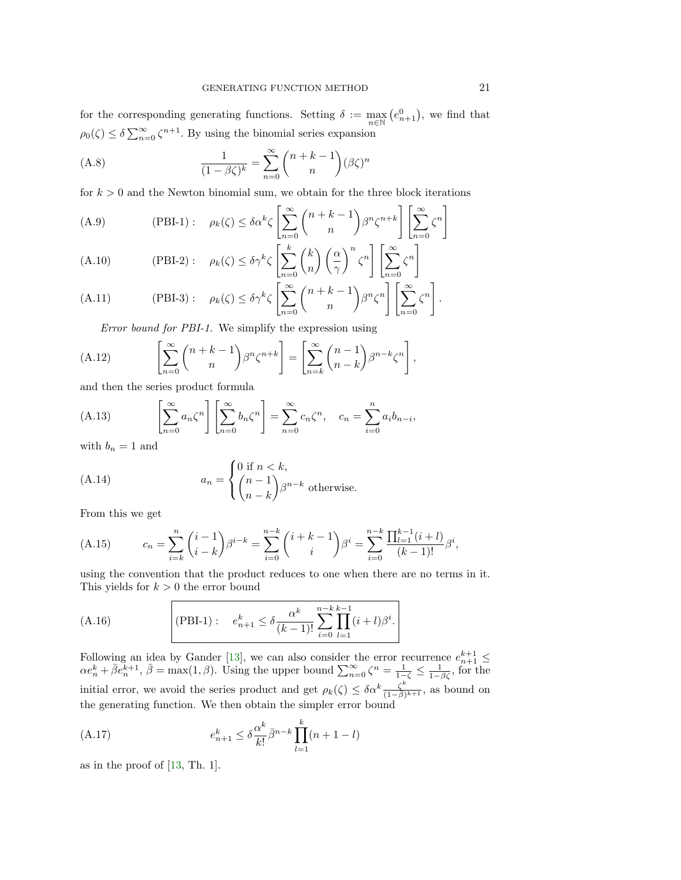for the corresponding generating functions. Setting  $\delta := \max_{n \in \mathbb{N}} (e_{n+1}^0)$ , we find that  $\rho_0(\zeta) \leq \delta \sum_{n=0}^{\infty} \zeta^{n+1}$ . By using the binomial series expansion

(A.8) 
$$
\frac{1}{(1-\beta\zeta)^k} = \sum_{n=0}^{\infty} {n+k-1 \choose n} (\beta\zeta)^n
$$

for  $k > 0$  and the Newton binomial sum, we obtain for the three block iterations

(A.9) 
$$
(PBI-1): \quad \rho_k(\zeta) \le \delta \alpha^k \zeta \left[ \sum_{n=0}^{\infty} {n+k-1 \choose n} \beta^n \zeta^{n+k} \right] \left[ \sum_{n=0}^{\infty} \zeta^n \right]
$$

(A.10) 
$$
(\text{PBI-2}): \quad \rho_k(\zeta) \le \delta \gamma^k \zeta \left[ \sum_{n=0}^k {k \choose n} \left( \frac{\alpha}{\gamma} \right)^n \zeta^n \right] \left[ \sum_{n=0}^\infty \zeta^n \right]
$$

(A.11) 
$$
(\text{PBI-3}): \quad \rho_k(\zeta) \le \delta \gamma^k \zeta \left[ \sum_{n=0}^{\infty} {n+k-1 \choose n} \beta^n \zeta^n \right] \left[ \sum_{n=0}^{\infty} \zeta^n \right].
$$

Error bound for PBI-1. We simplify the expression using

(A.12) 
$$
\left[\sum_{n=0}^{\infty} {n+k-1 \choose n} \beta^n \zeta^{n+k}\right] = \left[\sum_{n=k}^{\infty} {n-1 \choose n-k} \beta^{n-k} \zeta^n\right],
$$

and then the series product formula

<span id="page-20-0"></span>(A.13) 
$$
\left[\sum_{n=0}^{\infty} a_n \zeta^n\right] \left[\sum_{n=0}^{\infty} b_n \zeta^n\right] = \sum_{n=0}^{\infty} c_n \zeta^n, \quad c_n = \sum_{i=0}^{n} a_i b_{n-i},
$$

with  $b_n = 1$  and

(A.14) 
$$
a_n = \begin{cases} 0 \text{ if } n < k, \\ \binom{n-1}{n-k} \beta^{n-k} \text{ otherwise.} \end{cases}
$$

From this we get

(A.15) 
$$
c_n = \sum_{i=k}^n {i-1 \choose i-k} \beta^{i-k} = \sum_{i=0}^{n-k} {i+k-1 \choose i} \beta^i = \sum_{i=0}^{n-k} \frac{\prod_{l=1}^{k-1} (i+l)}{(k-1)!} \beta^i,
$$

using the convention that the product reduces to one when there are no terms in it. This yields for  $k > 0$  the error bound

(A.16) (PBI-1): 
$$
e_{n+1}^k \le \delta \frac{\alpha^k}{(k-1)!} \sum_{i=0}^{n-k} \prod_{l=1}^{k-1} (i+l) \beta^i
$$
.

Following an idea by Gander [\[13\]](#page-22-8), we can also consider the error recurrence  $e_{n+1}^{k+1} \leq$  $\alpha e_n^k + \overline{\beta}e_n^{k+1}, \overline{\beta} = \max(1, \beta)$ . Using the upper bound  $\sum_{n=0}^{\infty} \zeta^n = \frac{1}{1-\overline{\beta}} \leq \frac{1}{1-\overline{\beta}\overline{\zeta}}$ , for the initial error, we avoid the series product and get  $\rho_k(\zeta) \leq \delta \alpha^k \frac{\zeta^k}{(1-\delta)^k}$  $\frac{\zeta^n}{(1-\bar{\beta})^{k+1}},$  as bound on the generating function. We then obtain the simpler error bound

(A.17) 
$$
e_{n+1}^k \leq \delta \frac{\alpha^k}{k!} \bar{\beta}^{n-k} \prod_{l=1}^k (n+1-l)
$$

as in the proof of [\[13,](#page-22-8) Th. 1].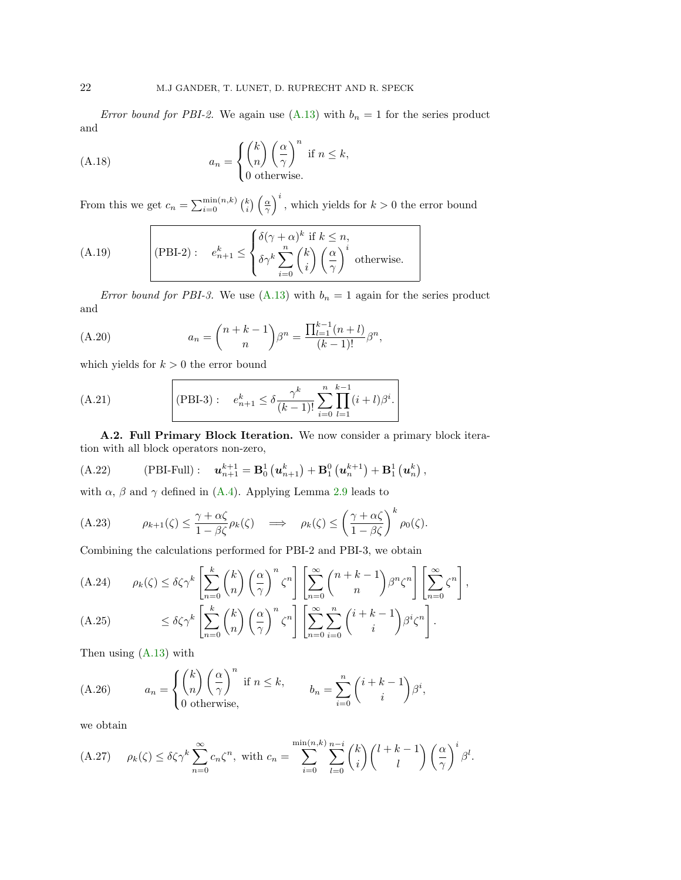Error bound for PBI-2. We again use [\(A.13\)](#page-20-0) with  $b_n = 1$  for the series product and

(A.18) 
$$
a_n = \begin{cases} \binom{k}{n} \left(\frac{\alpha}{\gamma}\right)^n \text{ if } n \leq k, \\ 0 \text{ otherwise.} \end{cases}
$$

From this we get  $c_n = \sum_{i=0}^{\min(n,k)} {k \choose i} \left(\frac{\alpha}{\gamma}\right)^i$ , which yields for  $k > 0$  the error bound

(A.19) 
$$
(PBI-2): \quad e_{n+1}^k \leq \begin{cases} \delta(\gamma+\alpha)^k \text{ if } k \leq n, \\ \delta \gamma^k \sum_{i=0}^n {k \choose i} \left(\frac{\alpha}{\gamma}\right)^i \text{ otherwise.} \end{cases}
$$

Error bound for PBI-3. We use [\(A.13\)](#page-20-0) with  $b_n = 1$  again for the series product and

(A.20) 
$$
a_n = {n+k-1 \choose n} \beta^n = \frac{\prod_{l=1}^{k-1} (n+l)}{(k-1)!} \beta^n,
$$

which yields for  $k > 0$  the error bound

(A.21) (PBI-3): 
$$
e_{n+1}^k \le \delta \frac{\gamma^k}{(k-1)!} \sum_{i=0}^n \prod_{l=1}^{k-1} (i+l)\beta^i
$$
.

A.2. Full Primary Block Iteration. We now consider a primary block iteration with all block operators non-zero,

(A.22) (PBI-Full): 
$$
\mathbf{u}_{n+1}^{k+1} = \mathbf{B}_0^1(\mathbf{u}_{n+1}^k) + \mathbf{B}_1^0(\mathbf{u}_n^{k+1}) + \mathbf{B}_1^1(\mathbf{u}_n^k)
$$
,

with  $\alpha$ ,  $\beta$  and  $\gamma$  defined in [\(A.4\)](#page-19-2). Applying Lemma [2.9](#page-6-5) leads to

(A.23) 
$$
\rho_{k+1}(\zeta) \leq \frac{\gamma + \alpha \zeta}{1 - \beta \zeta} \rho_k(\zeta) \implies \rho_k(\zeta) \leq \left(\frac{\gamma + \alpha \zeta}{1 - \beta \zeta}\right)^k \rho_0(\zeta).
$$

Combining the calculations performed for PBI-2 and PBI-3, we obtain

(A.24) 
$$
\rho_k(\zeta) \le \delta \zeta \gamma^k \left[ \sum_{n=0}^k {k \choose n} \left( \frac{\alpha}{\gamma} \right)^n \zeta^n \right] \left[ \sum_{n=0}^\infty {n+k-1 \choose n} \beta^n \zeta^n \right] \left[ \sum_{n=0}^\infty \zeta^n \right],
$$
  
(A.25) 
$$
\le \delta \zeta \gamma^k \left[ \sum_{n=0}^k {k \choose n} \left( \frac{\alpha}{\gamma} \right)^n \zeta^n \right] \left[ \sum_{n=0}^\infty \sum_{i=0}^n {i+k-1 \choose i} \beta^i \zeta^n \right].
$$

Then using [\(A.13\)](#page-20-0) with

(A.26) 
$$
a_n = \begin{cases} {k \choose n} \left(\frac{\alpha}{\gamma}\right)^n & \text{if } n \leq k, \\ 0 & \text{otherwise,} \end{cases} \qquad b_n = \sum_{i=0}^n {i+k-1 \choose i} \beta^i,
$$

we obtain

(A.27) 
$$
\rho_k(\zeta) \le \delta \zeta \gamma^k \sum_{n=0}^{\infty} c_n \zeta^n
$$
, with  $c_n = \sum_{i=0}^{\min(n,k)} \sum_{l=0}^{n-i} {k \choose i} {l+k-1 \choose l} \left(\frac{\alpha}{\gamma}\right)^i \beta^l$ .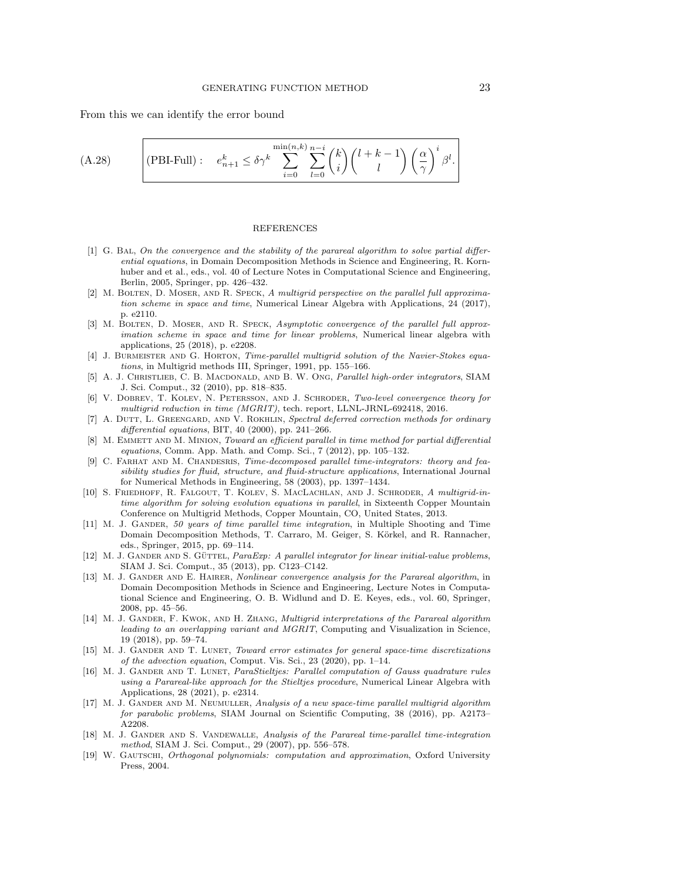From this we can identify the error bound

(A.28) (PBI-Full): 
$$
e_{n+1}^k \le \delta \gamma^k \sum_{i=0}^{\min(n,k)} \sum_{l=0}^{n-i} {k \choose i} {l+k-1 \choose l} \left(\frac{\alpha}{\gamma}\right)^i \beta^l.
$$

#### REFERENCES

- <span id="page-22-7"></span>[1] G. Bal, On the convergence and the stability of the parareal algorithm to solve partial differential equations, in Domain Decomposition Methods in Science and Engineering, R. Kornhuber and et al., eds., vol. 40 of Lecture Notes in Computational Science and Engineering, Berlin, 2005, Springer, pp. 426–432.
- <span id="page-22-11"></span>[2] M. BOLTEN, D. MOSER, AND R. SPECK, A multigrid perspective on the parallel full approximation scheme in space and time, Numerical Linear Algebra with Applications, 24 (2017), p. e2110.
- <span id="page-22-12"></span>[3] M. BOLTEN, D. MOSER, AND R. SPECK, Asymptotic convergence of the parallel full approximation scheme in space and time for linear problems, Numerical linear algebra with applications, 25 (2018), p. e2208.
- <span id="page-22-18"></span>[4] J. BURMEISTER AND G. HORTON, Time-parallel multigrid solution of the Navier-Stokes equations, in Multigrid methods III, Springer, 1991, pp. 155–166.
- <span id="page-22-5"></span>[5] A. J. Christlieb, C. B. Macdonald, and B. W. Ong, Parallel high-order integrators, SIAM J. Sci. Comput., 32 (2010), pp. 818–835.
- <span id="page-22-10"></span>[6] V. DOBREV, T. KOLEV, N. PETERSSON, AND J. SCHRODER, Two-level convergence theory for multigrid reduction in time (MGRIT), tech. report, LLNL-JRNL-692418, 2016.
- <span id="page-22-16"></span>[7] A. DUTT, L. GREENGARD, AND V. ROKHLIN, Spectral deferred correction methods for ordinary differential equations, BIT, 40 (2000), pp. 241–266.
- <span id="page-22-1"></span>[8] M. EMMETT AND M. MINION, Toward an efficient parallel in time method for partial differential equations, Comm. App. Math. and Comp. Sci., 7 (2012), pp. 105–132.
- <span id="page-22-4"></span>[9] C. FARHAT AND M. CHANDESRIS, *Time-decomposed parallel time-integrators: theory and fea*sibility studies for fluid, structure, and fluid-structure applications, International Journal for Numerical Methods in Engineering, 58 (2003), pp. 1397–1434.
- <span id="page-22-2"></span>[10] S. Friedhoff, R. Falgout, T. Kolev, S. MacLachlan, and J. Schroder, A multigrid-intime algorithm for solving evolution equations in parallel, in Sixteenth Copper Mountain Conference on Multigrid Methods, Copper Mountain, CO, United States, 2013.
- <span id="page-22-0"></span>[11] M. J. GANDER, 50 years of time parallel time integration, in Multiple Shooting and Time Domain Decomposition Methods, T. Carraro, M. Geiger, S. Körkel, and R. Rannacher, eds., Springer, 2015, pp. 69–114.
- <span id="page-22-6"></span>[12] M. J. GANDER AND S. GÜTTEL, ParaExp: A parallel integrator for linear initial-value problems, SIAM J. Sci. Comput., 35 (2013), pp. C123–C142.
- <span id="page-22-8"></span>[13] M. J. GANDER AND E. HAIRER, Nonlinear convergence analysis for the Parareal algorithm, in Domain Decomposition Methods in Science and Engineering, Lecture Notes in Computational Science and Engineering, O. B. Widlund and D. E. Keyes, eds., vol. 60, Springer, 2008, pp. 45–56.
- <span id="page-22-13"></span>[14] M. J. GANDER, F. KWOK, AND H. ZHANG, *Multigrid interpretations of the Parareal algorithm* leading to an overlapping variant and MGRIT, Computing and Visualization in Science, 19 (2018), pp. 59–74.
- <span id="page-22-15"></span>[15] M. J. GANDER AND T. LUNET, Toward error estimates for general space-time discretizations of the advection equation, Comput. Vis. Sci., 23 (2020), pp. 1–14.
- <span id="page-22-14"></span>[16] M. J. GANDER AND T. LUNET, ParaStieltjes: Parallel computation of Gauss quadrature rules using a Parareal-like approach for the Stieltjes procedure, Numerical Linear Algebra with Applications, 28 (2021), p. e2314.
- <span id="page-22-3"></span>[17] M. J. GANDER AND M. NEUMULLER, Analysis of a new space-time parallel multigrid algorithm for parabolic problems, SIAM Journal on Scientific Computing, 38 (2016), pp. A2173– A2208.
- <span id="page-22-9"></span>[18] M. J. GANDER AND S. VANDEWALLE, Analysis of the Parareal time-parallel time-integration method, SIAM J. Sci. Comput., 29 (2007), pp. 556–578.
- <span id="page-22-17"></span>[19] W. GAUTSCHI, Orthogonal polynomials: computation and approximation, Oxford University Press, 2004.